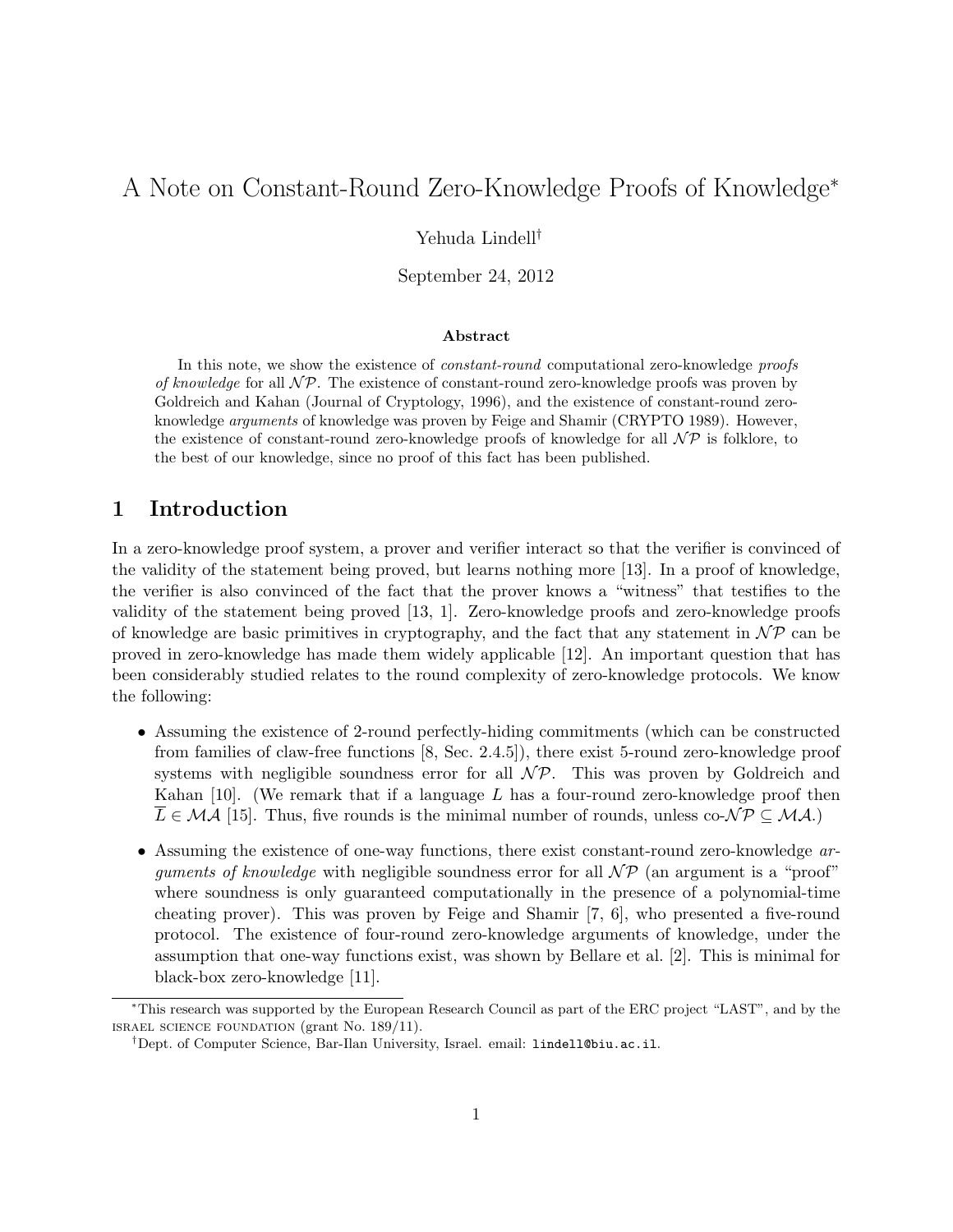# A Note on Constant-Round Zero-Knowledge Proofs of Knowledge<sup>∗</sup>

Yehuda Lindell†

September 24, 2012

#### Abstract

In this note, we show the existence of *constant-round* computational zero-knowledge *proofs* of knowledge for all  $\mathcal{NP}$ . The existence of constant-round zero-knowledge proofs was proven by Goldreich and Kahan (Journal of Cryptology, 1996), and the existence of constant-round zeroknowledge arguments of knowledge was proven by Feige and Shamir (CRYPTO 1989). However, the existence of constant-round zero-knowledge proofs of knowledge for all  $\mathcal{NP}$  is folklore, to the best of our knowledge, since no proof of this fact has been published.

### 1 Introduction

In a zero-knowledge proof system, a prover and verifier interact so that the verifier is convinced of the validity of the statement being proved, but learns nothing more [13]. In a proof of knowledge, the verifier is also convinced of the fact that the prover knows a "witness" that testifies to the validity of the statement being proved [13, 1]. Zero-knowledge proofs and zero-knowledge proofs of knowledge are basic primitives in cryptography, and the fact that any statement in  $\mathcal{NP}$  can be proved in zero-knowledge has made them widely applicable [12]. An important question that has been considerably studied relates to the round complexity of zero-knowledge protocols. We know the following:

- Assuming the existence of 2-round perfectly-hiding commitments (which can be constructed from families of claw-free functions [8, Sec. 2.4.5]), there exist 5-round zero-knowledge proof systems with negligible soundness error for all  $N\mathcal{P}$ . This was proven by Goldreich and Kahan  $[10]$ . (We remark that if a language L has a four-round zero-knowledge proof then  $L \in \mathcal{MA}$  [15]. Thus, five rounds is the minimal number of rounds, unless co- $\mathcal{NP} \subseteq \mathcal{MA}$ .)
- Assuming the existence of one-way functions, there exist constant-round zero-knowledge arguments of knowledge with negligible soundness error for all  $\mathcal{NP}$  (an argument is a "proof" where soundness is only guaranteed computationally in the presence of a polynomial-time cheating prover). This was proven by Feige and Shamir [7, 6], who presented a five-round protocol. The existence of four-round zero-knowledge arguments of knowledge, under the assumption that one-way functions exist, was shown by Bellare et al. [2]. This is minimal for black-box zero-knowledge [11].

<sup>∗</sup>This research was supported by the European Research Council as part of the ERC project "LAST", and by the israel science foundation (grant No. 189/11).

<sup>†</sup>Dept. of Computer Science, Bar-Ilan University, Israel. email: lindell@biu.ac.il.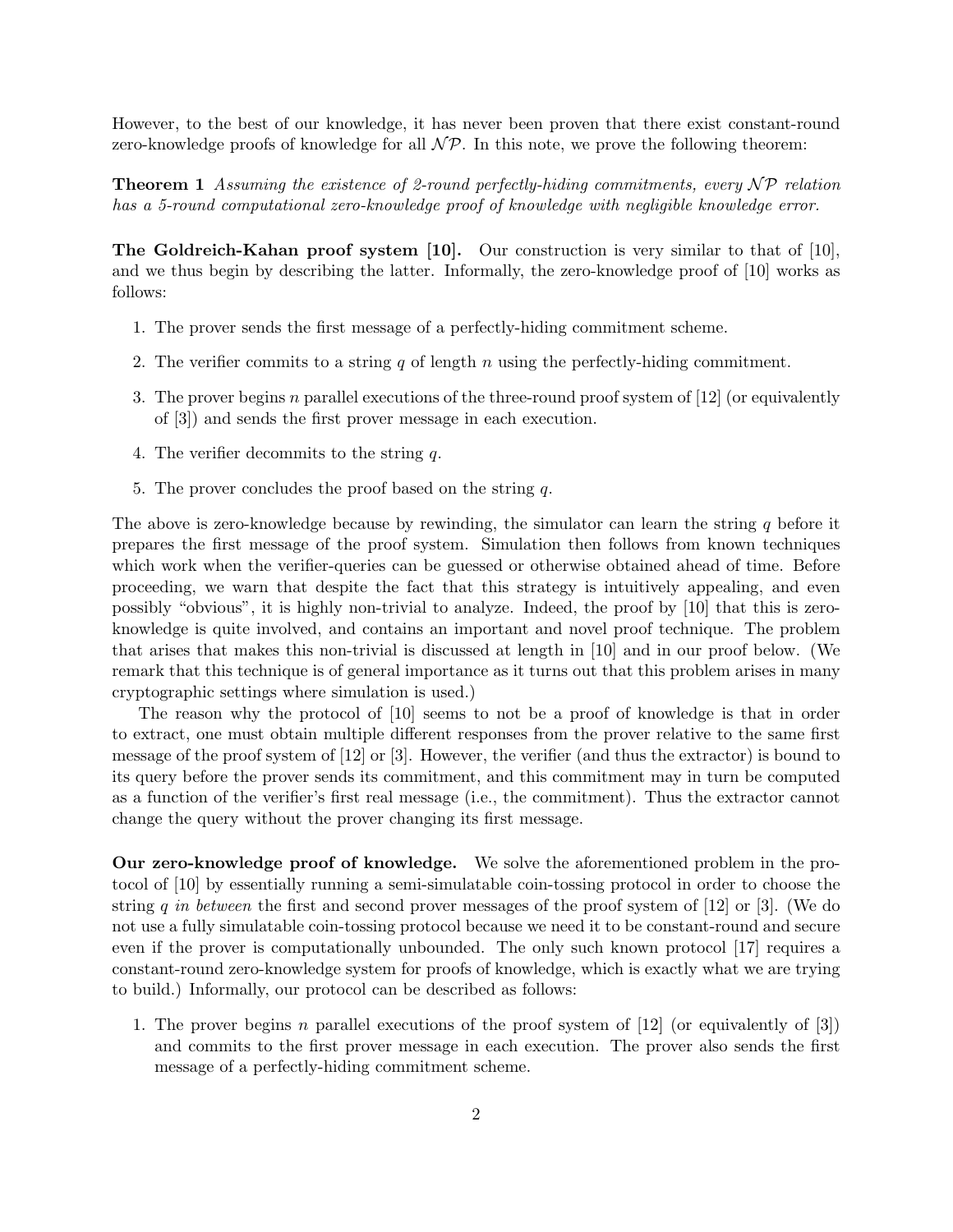However, to the best of our knowledge, it has never been proven that there exist constant-round zero-knowledge proofs of knowledge for all  $\mathcal{NP}$ . In this note, we prove the following theorem:

**Theorem 1** Assuming the existence of 2-round perfectly-hiding commitments, every  $\mathcal{NP}$  relation has a 5-round computational zero-knowledge proof of knowledge with negligible knowledge error.

The Goldreich-Kahan proof system [10]. Our construction is very similar to that of [10], and we thus begin by describing the latter. Informally, the zero-knowledge proof of [10] works as follows:

- 1. The prover sends the first message of a perfectly-hiding commitment scheme.
- 2. The verifier commits to a string q of length n using the perfectly-hiding commitment.
- 3. The prover begins n parallel executions of the three-round proof system of  $[12]$  (or equivalently of [3]) and sends the first prover message in each execution.
- 4. The verifier decommits to the string q.
- 5. The prover concludes the proof based on the string q.

The above is zero-knowledge because by rewinding, the simulator can learn the string  $q$  before it prepares the first message of the proof system. Simulation then follows from known techniques which work when the verifier-queries can be guessed or otherwise obtained ahead of time. Before proceeding, we warn that despite the fact that this strategy is intuitively appealing, and even possibly "obvious", it is highly non-trivial to analyze. Indeed, the proof by [10] that this is zeroknowledge is quite involved, and contains an important and novel proof technique. The problem that arises that makes this non-trivial is discussed at length in [10] and in our proof below. (We remark that this technique is of general importance as it turns out that this problem arises in many cryptographic settings where simulation is used.)

The reason why the protocol of [10] seems to not be a proof of knowledge is that in order to extract, one must obtain multiple different responses from the prover relative to the same first message of the proof system of [12] or [3]. However, the verifier (and thus the extractor) is bound to its query before the prover sends its commitment, and this commitment may in turn be computed as a function of the verifier's first real message (i.e., the commitment). Thus the extractor cannot change the query without the prover changing its first message.

Our zero-knowledge proof of knowledge. We solve the aforementioned problem in the protocol of [10] by essentially running a semi-simulatable coin-tossing protocol in order to choose the string q in between the first and second prover messages of the proof system of  $[12]$  or  $[3]$ . (We do not use a fully simulatable coin-tossing protocol because we need it to be constant-round and secure even if the prover is computationally unbounded. The only such known protocol [17] requires a constant-round zero-knowledge system for proofs of knowledge, which is exactly what we are trying to build.) Informally, our protocol can be described as follows:

1. The prover begins n parallel executions of the proof system of  $[12]$  (or equivalently of  $[3]$ ) and commits to the first prover message in each execution. The prover also sends the first message of a perfectly-hiding commitment scheme.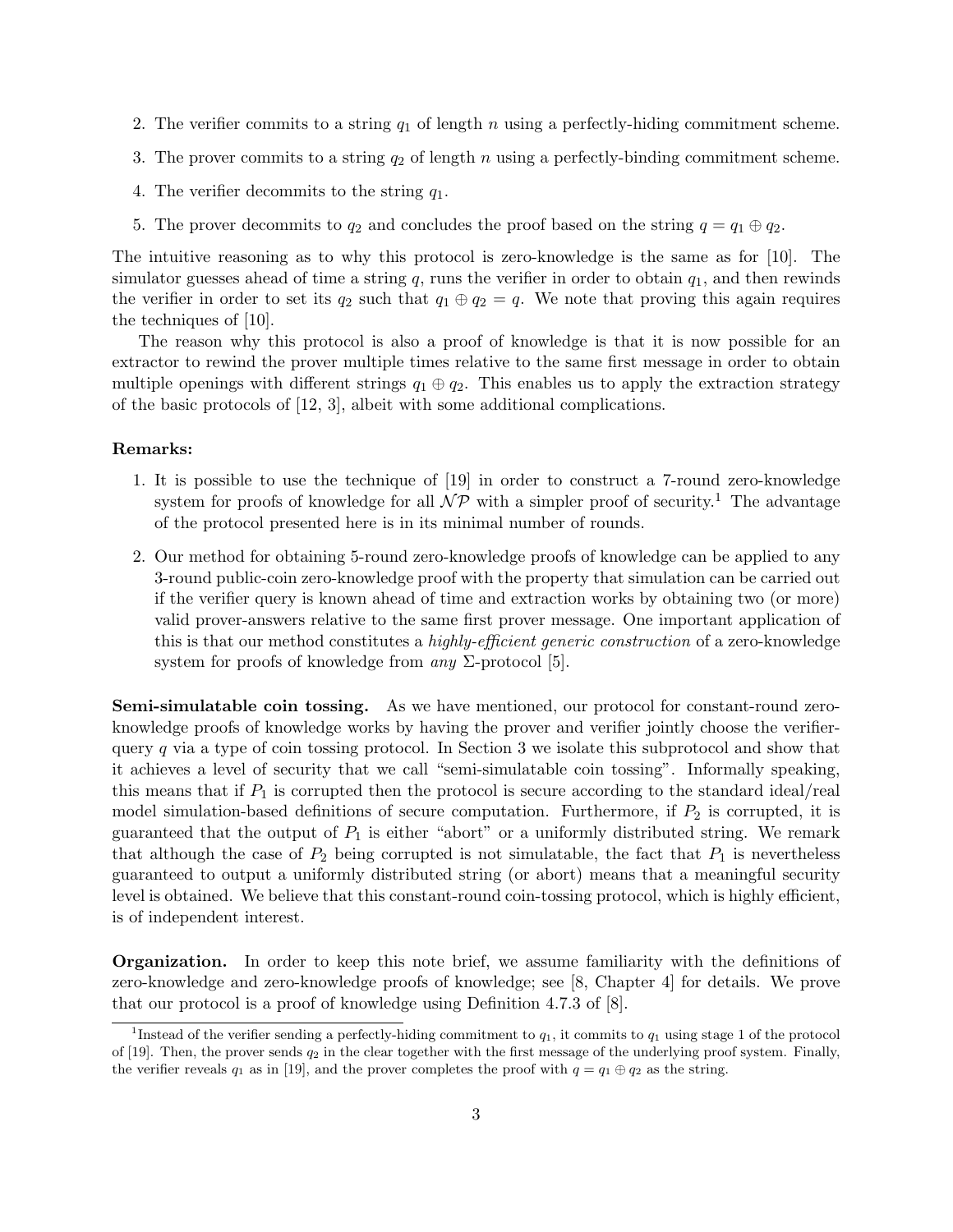- 2. The verifier commits to a string  $q_1$  of length n using a perfectly-hiding commitment scheme.
- 3. The prover commits to a string  $q_2$  of length n using a perfectly-binding commitment scheme.
- 4. The verifier decommits to the string  $q_1$ .
- 5. The prover decommits to  $q_2$  and concludes the proof based on the string  $q = q_1 \oplus q_2$ .

The intuitive reasoning as to why this protocol is zero-knowledge is the same as for [10]. The simulator guesses ahead of time a string q, runs the verifier in order to obtain  $q_1$ , and then rewinds the verifier in order to set its  $q_2$  such that  $q_1 \oplus q_2 = q$ . We note that proving this again requires the techniques of [10].

The reason why this protocol is also a proof of knowledge is that it is now possible for an extractor to rewind the prover multiple times relative to the same first message in order to obtain multiple openings with different strings  $q_1 \oplus q_2$ . This enables us to apply the extraction strategy of the basic protocols of [12, 3], albeit with some additional complications.

#### Remarks:

- 1. It is possible to use the technique of [19] in order to construct a 7-round zero-knowledge system for proofs of knowledge for all  $\mathcal{NP}$  with a simpler proof of security.<sup>1</sup> The advantage of the protocol presented here is in its minimal number of rounds.
- 2. Our method for obtaining 5-round zero-knowledge proofs of knowledge can be applied to any 3-round public-coin zero-knowledge proof with the property that simulation can be carried out if the verifier query is known ahead of time and extraction works by obtaining two (or more) valid prover-answers relative to the same first prover message. One important application of this is that our method constitutes a *highly-efficient generic construction* of a zero-knowledge system for proofs of knowledge from *any*  $\Sigma$ -protocol [5].

Semi-simulatable coin tossing. As we have mentioned, our protocol for constant-round zeroknowledge proofs of knowledge works by having the prover and verifier jointly choose the verifierquery q via a type of coin tossing protocol. In Section 3 we isolate this subprotocol and show that it achieves a level of security that we call "semi-simulatable coin tossing". Informally speaking, this means that if  $P_1$  is corrupted then the protocol is secure according to the standard ideal/real model simulation-based definitions of secure computation. Furthermore, if  $P_2$  is corrupted, it is guaranteed that the output of  $P_1$  is either "abort" or a uniformly distributed string. We remark that although the case of  $P_2$  being corrupted is not simulatable, the fact that  $P_1$  is nevertheless guaranteed to output a uniformly distributed string (or abort) means that a meaningful security level is obtained. We believe that this constant-round coin-tossing protocol, which is highly efficient, is of independent interest.

Organization. In order to keep this note brief, we assume familiarity with the definitions of zero-knowledge and zero-knowledge proofs of knowledge; see [8, Chapter 4] for details. We prove that our protocol is a proof of knowledge using Definition 4.7.3 of [8].

<sup>&</sup>lt;sup>1</sup>Instead of the verifier sending a perfectly-hiding commitment to  $q_1$ , it commits to  $q_1$  using stage 1 of the protocol of  $[19]$ . Then, the prover sends  $q_2$  in the clear together with the first message of the underlying proof system. Finally, the verifier reveals  $q_1$  as in [19], and the prover completes the proof with  $q = q_1 \oplus q_2$  as the string.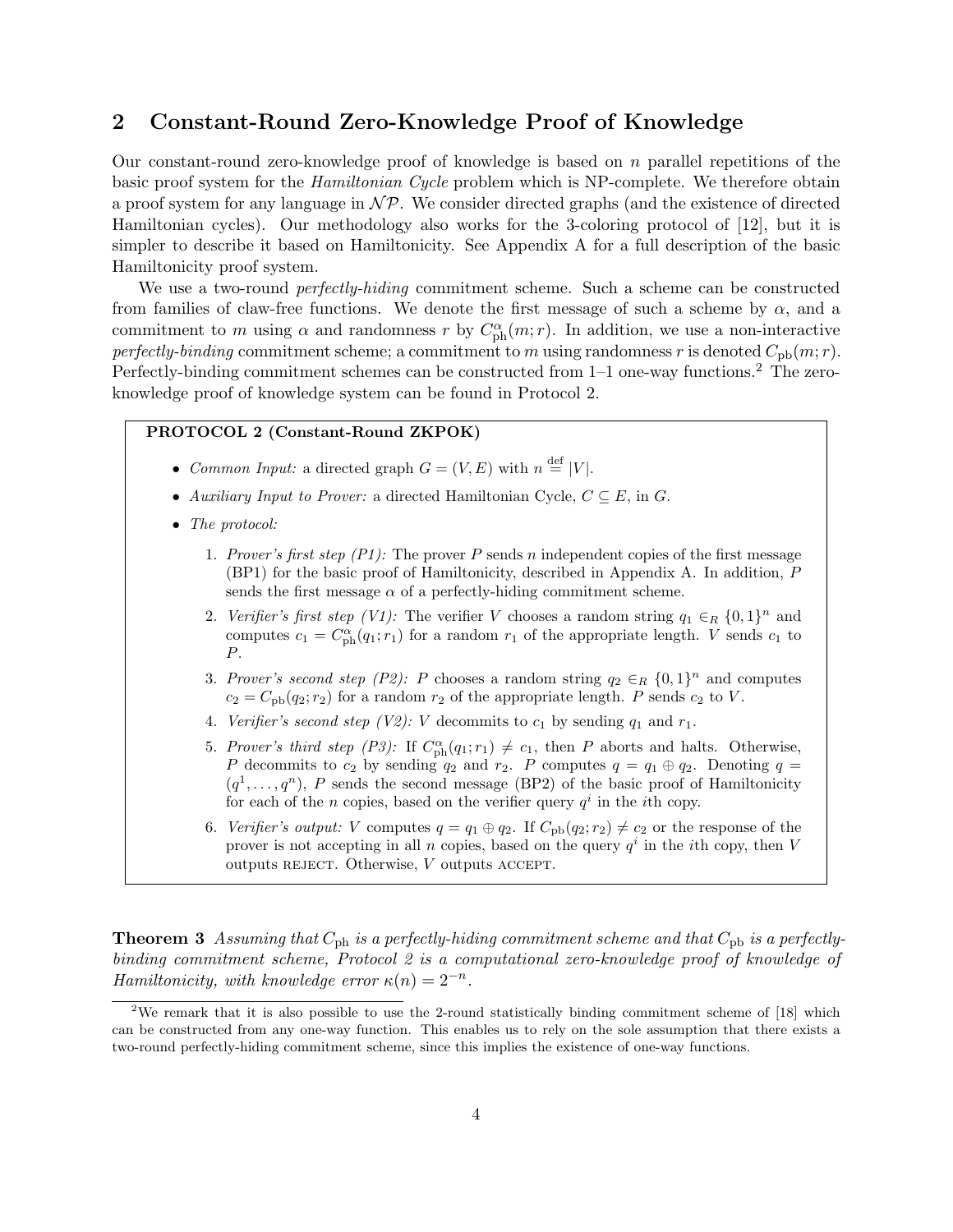### 2 Constant-Round Zero-Knowledge Proof of Knowledge

Our constant-round zero-knowledge proof of knowledge is based on  $n$  parallel repetitions of the basic proof system for the *Hamiltonian Cycle* problem which is NP-complete. We therefore obtain a proof system for any language in  $\mathcal{NP}$ . We consider directed graphs (and the existence of directed Hamiltonian cycles). Our methodology also works for the 3-coloring protocol of [12], but it is simpler to describe it based on Hamiltonicity. See Appendix A for a full description of the basic Hamiltonicity proof system.

We use a two-round *perfectly-hiding* commitment scheme. Such a scheme can be constructed from families of claw-free functions. We denote the first message of such a scheme by  $\alpha$ , and a commitment to m using  $\alpha$  and randomness r by  $C_{\rm ph}^{\alpha}(m;r)$ . In addition, we use a non-interactive perfectly-binding commitment scheme; a commitment to m using randomness r is denoted  $C_{\text{pb}}(m; r)$ . Perfectly-binding commitment schemes can be constructed from 1–1 one-way functions.<sup>2</sup> The zeroknowledge proof of knowledge system can be found in Protocol 2.

#### PROTOCOL 2 (Constant-Round ZKPOK)

- Common Input: a directed graph  $G = (V, E)$  with  $n \stackrel{\text{def}}{=} |V|$ .
- Auxiliary Input to Prover: a directed Hamiltonian Cycle,  $C \subseteq E$ , in G.
- The protocol:
	- 1. Prover's first step  $(P1)$ : The prover P sends n independent copies of the first message (BP1) for the basic proof of Hamiltonicity, described in Appendix A. In addition, P sends the first message  $\alpha$  of a perfectly-hiding commitment scheme.
	- 2. Verifier's first step (V1): The verifier V chooses a random string  $q_1 \in_R \{0,1\}^n$  and computes  $c_1 = C_{\text{ph}}^{\alpha}(q_1; r_1)$  for a random  $r_1$  of the appropriate length. V sends  $c_1$  to P.
	- 3. Prover's second step (P2): P chooses a random string  $q_2 \in_R \{0,1\}^n$  and computes  $c_2 = C_{\rm pb}(q_2; r_2)$  for a random  $r_2$  of the appropriate length. P sends  $c_2$  to V.
	- 4. Verifier's second step (V2): V decommits to  $c_1$  by sending  $q_1$  and  $r_1$ .
	- 5. Prover's third step (P3): If  $C_{\text{ph}}^{\alpha}(q_1; r_1) \neq c_1$ , then P aborts and halts. Otherwise, P decommits to  $c_2$  by sending  $q_2$  and  $r_2$ . P computes  $q = q_1 \oplus q_2$ . Denoting  $q =$  $(q^1, \ldots, q^n)$ , P sends the second message (BP2) of the basic proof of Hamiltonicity for each of the n copies, based on the verifier query  $q^i$  in the *i*th copy.
	- 6. Verifier's output: V computes  $q = q_1 \oplus q_2$ . If  $C_{\text{pb}}(q_2; r_2) \neq c_2$  or the response of the prover is not accepting in all n copies, based on the query  $q<sup>i</sup>$  in the *i*th copy, then V outputs REJECT. Otherwise,  $V$  outputs ACCEPT.

**Theorem 3** Assuming that  $C_{\text{ph}}$  is a perfectly-hiding commitment scheme and that  $C_{\text{ph}}$  is a perfectlybinding commitment scheme, Protocol 2 is a computational zero-knowledge proof of knowledge of Hamiltonicity, with knowledge error  $\kappa(n) = 2^{-n}$ .

<sup>&</sup>lt;sup>2</sup>We remark that it is also possible to use the 2-round statistically binding commitment scheme of [18] which can be constructed from any one-way function. This enables us to rely on the sole assumption that there exists a two-round perfectly-hiding commitment scheme, since this implies the existence of one-way functions.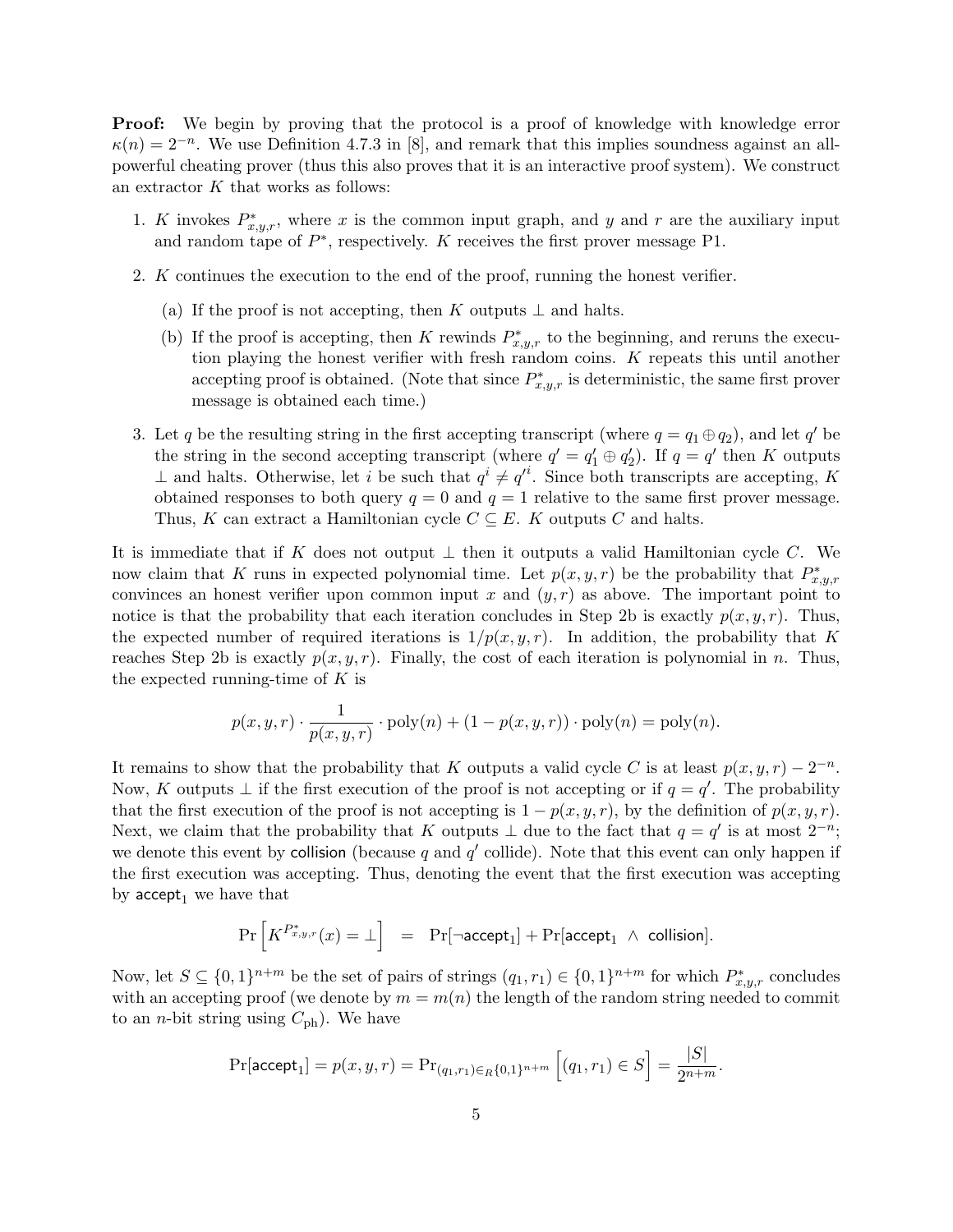Proof: We begin by proving that the protocol is a proof of knowledge with knowledge error  $\kappa(n) = 2^{-n}$ . We use Definition 4.7.3 in [8], and remark that this implies soundness against an allpowerful cheating prover (thus this also proves that it is an interactive proof system). We construct an extractor  $K$  that works as follows:

- 1. K invokes  $P_{x,y,r}^*$ , where x is the common input graph, and y and r are the auxiliary input and random tape of  $P^*$ , respectively. K receives the first prover message P1.
- 2. K continues the execution to the end of the proof, running the honest verifier.
	- (a) If the proof is not accepting, then K outputs  $\perp$  and halts.
	- (b) If the proof is accepting, then K rewinds  $P_{x,y,r}^*$  to the beginning, and reruns the execution playing the honest verifier with fresh random coins. K repeats this until another accepting proof is obtained. (Note that since  $P_{x,y,r}^*$  is deterministic, the same first prover message is obtained each time.)
- 3. Let q be the resulting string in the first accepting transcript (where  $q = q_1 \oplus q_2$ ), and let q' be the string in the second accepting transcript (where  $q' = q'_1 \oplus q'_2$ ). If  $q = q'$  then K outputs ⊥ and halts. Otherwise, let i be such that  $q^i \neq q'^i$ . Since both transcripts are accepting, K obtained responses to both query  $q = 0$  and  $q = 1$  relative to the same first prover message. Thus, K can extract a Hamiltonian cycle  $C \subseteq E$ . K outputs C and halts.

It is immediate that if K does not output  $\perp$  then it outputs a valid Hamiltonian cycle C. We now claim that K runs in expected polynomial time. Let  $p(x, y, r)$  be the probability that  $P_{x,y,r}^*$ convinces an honest verifier upon common input x and  $(y, r)$  as above. The important point to notice is that the probability that each iteration concludes in Step 2b is exactly  $p(x, y, r)$ . Thus, the expected number of required iterations is  $1/p(x, y, r)$ . In addition, the probability that K reaches Step 2b is exactly  $p(x, y, r)$ . Finally, the cost of each iteration is polynomial in n. Thus, the expected running-time of  $K$  is

$$
p(x, y, r) \cdot \frac{1}{p(x, y, r)} \cdot \text{poly}(n) + (1 - p(x, y, r)) \cdot \text{poly}(n) = \text{poly}(n).
$$

It remains to show that the probability that K outputs a valid cycle C is at least  $p(x, y, r) - 2^{-n}$ . Now, K outputs  $\perp$  if the first execution of the proof is not accepting or if  $q = q'$ . The probability that the first execution of the proof is not accepting is  $1 - p(x, y, r)$ , by the definition of  $p(x, y, r)$ . Next, we claim that the probability that K outputs  $\perp$  due to the fact that  $q = q'$  is at most  $2^{-n}$ ; we denote this event by collision (because q and  $q'$  collide). Note that this event can only happen if the first execution was accepting. Thus, denoting the event that the first execution was accepting by  $accept_1$  we have that

$$
\Pr\left[K^{P_{x,y,r}^{*}}(x) = \bot\right] = \Pr[\neg \textsf{accept}_1] + \Pr[\textsf{accept}_1 \ \wedge \ \textsf{collision}].
$$

Now, let  $S \subseteq \{0,1\}^{n+m}$  be the set of pairs of strings  $(q_1, r_1) \in \{0,1\}^{n+m}$  for which  $P_{x,y,r}^*$  concludes with an accepting proof (we denote by  $m = m(n)$  the length of the random string needed to commit to an *n*-bit string using  $C_{\text{ph}}$ ). We have

$$
\Pr[\mathsf{accept}_1] = p(x, y, r) = \Pr_{(q_1, r_1) \in R\{0, 1\}^{n+m}} [(q_1, r_1) \in S] = \frac{|S|}{2^{n+m}}.
$$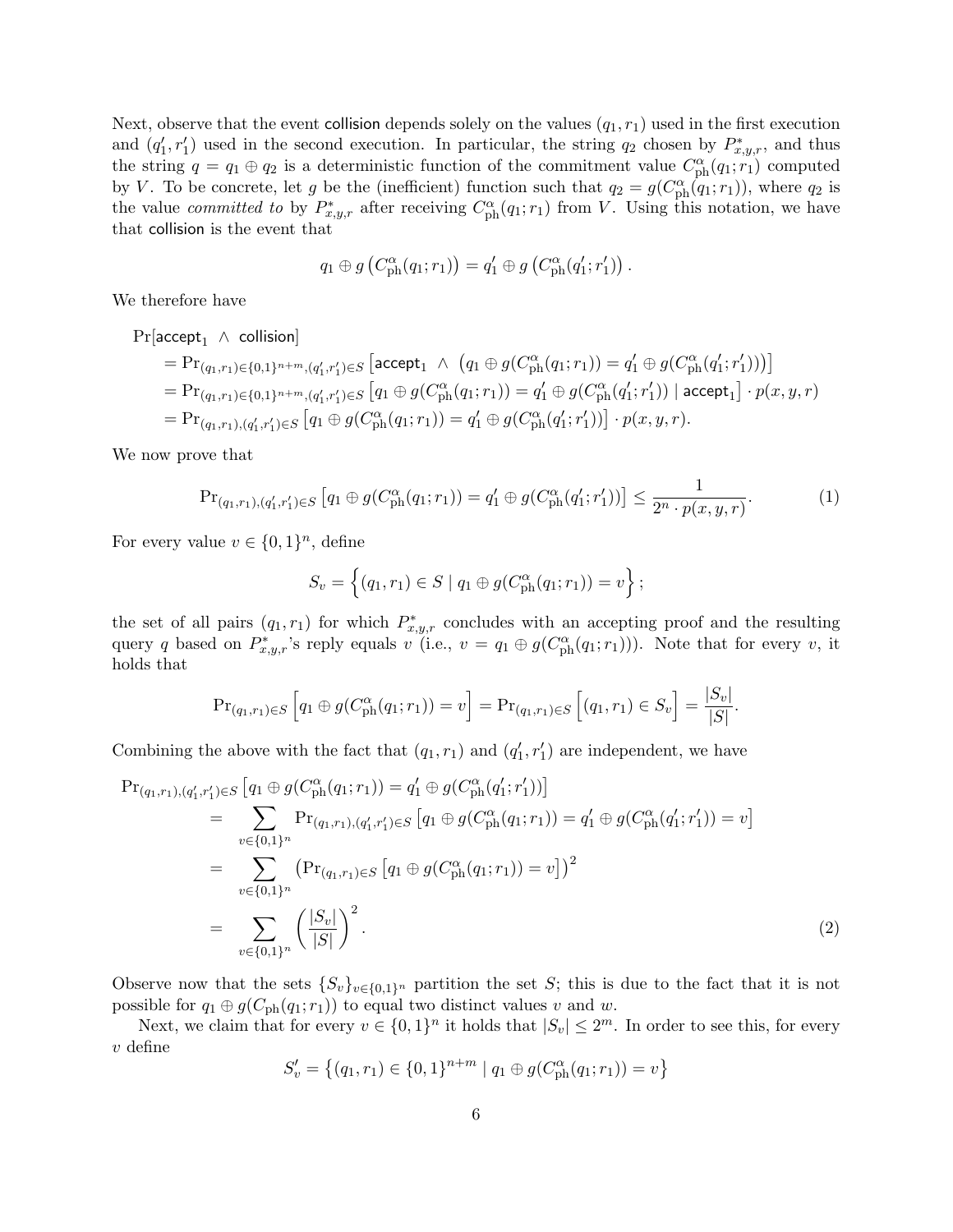Next, observe that the event collision depends solely on the values  $(q_1, r_1)$  used in the first execution and  $(q'_1, r'_1)$  used in the second execution. In particular, the string  $q_2$  chosen by  $P_{x,y,r}^*$ , and thus the string  $q = q_1 \oplus q_2$  is a deterministic function of the commitment value  $C_{\rm ph}^{\alpha}(q_1; \tilde{r}_1)$  computed by V. To be concrete, let g be the (inefficient) function such that  $q_2 = g(C_{\text{ph}}^{\alpha}(q_1; r_1))$ , where  $q_2$  is the value *committed to* by  $P_{x,y,r}^*$  after receiving  $C_{\text{ph}}^{\alpha}(q_1;r_1)$  from V. Using this notation, we have that collision is the event that

$$
q_1 \oplus g\left(C_{\rm ph}^{\alpha}(q_1;r_1)\right) = q_1' \oplus g\left(C_{\rm ph}^{\alpha}(q_1';r_1')\right).
$$

We therefore have

 $Pr[accept_1 \wedge collision]$ 

$$
= \Pr_{(q_1,r_1) \in \{0,1\}^{n+m}, (q'_1,r'_1) \in S} \left[ \text{accept}_1 \land (q_1 \oplus g(C_{\text{ph}}^{\alpha}(q_1;r_1)) = q'_1 \oplus g(C_{\text{ph}}^{\alpha}(q'_1;r'_1)) \right] = \Pr_{(q_1,r_1) \in \{0,1\}^{n+m}, (q'_1,r'_1) \in S} \left[ q_1 \oplus g(C_{\text{ph}}^{\alpha}(q_1;r_1)) = q'_1 \oplus g(C_{\text{ph}}^{\alpha}(q'_1;r'_1)) \mid \text{accept}_1 \right] \cdot p(x,y,r) = \Pr_{(q_1,r_1),(q'_1,r'_1) \in S} \left[ q_1 \oplus g(C_{\text{ph}}^{\alpha}(q_1;r_1)) = q'_1 \oplus g(C_{\text{ph}}^{\alpha}(q'_1;r'_1)) \right] \cdot p(x,y,r).
$$

We now prove that

$$
\Pr_{(q_1,r_1),(q'_1,r'_1)\in S} [q_1 \oplus g(C_{\rm ph}^{\alpha}(q_1;r_1)) = q'_1 \oplus g(C_{\rm ph}^{\alpha}(q'_1;r'_1))] \leq \frac{1}{2^n \cdot p(x,y,r)}.\tag{1}
$$

For every value  $v \in \{0,1\}^n$ , define

$$
S_v = \left\{ (q_1, r_1) \in S \mid q_1 \oplus g(C_{\text{ph}}^{\alpha}(q_1; r_1)) = v \right\};
$$

the set of all pairs  $(q_1, r_1)$  for which  $P_{x,y,r}^*$  concludes with an accepting proof and the resulting query q based on  $P_{x,y,r}^*$ 's reply equals  $v^{\tilde{ }}(i.e., v = q_1 \oplus g(C_{ph}^{\alpha}(q_1;r_1)))$ . Note that for every v, it holds that

$$
\Pr_{(q_1,r_1)\in S}\left[q_1\oplus g(C_{\rm ph}^{\alpha}(q_1;r_1))=v\right]=\Pr_{(q_1,r_1)\in S}\left[(q_1,r_1)\in S_v\right]=\frac{|S_v|}{|S|}.
$$

Combining the above with the fact that  $(q_1, r_1)$  and  $(q'_1, r'_1)$  are independent, we have

$$
\Pr_{(q_1,r_1),(q'_1,r'_1)\in S} [q_1 \oplus g(C_{\text{ph}}^{\alpha}(q_1;r_1)) = q'_1 \oplus g(C_{\text{ph}}^{\alpha}(q'_1;r'_1))]
$$
\n
$$
= \sum_{v \in \{0,1\}^n} \Pr_{(q_1,r_1),(q'_1,r'_1)\in S} [q_1 \oplus g(C_{\text{ph}}^{\alpha}(q_1;r_1)) = q'_1 \oplus g(C_{\text{ph}}^{\alpha}(q'_1;r'_1)) = v]
$$
\n
$$
= \sum_{v \in \{0,1\}^n} \left( \Pr_{(q_1,r_1)\in S} [q_1 \oplus g(C_{\text{ph}}^{\alpha}(q_1;r_1)) = v] \right)^2
$$
\n
$$
= \sum_{v \in \{0,1\}^n} \left( \frac{|S_v|}{|S|} \right)^2.
$$
\n(2)

Observe now that the sets  $\{S_v\}_{v\in\{0,1\}^n}$  partition the set S; this is due to the fact that it is not possible for  $q_1 \oplus g(C_{\text{ph}}(q_1; r_1))$  to equal two distinct values v and w.

Next, we claim that for every  $v \in \{0,1\}^n$  it holds that  $|S_v| \leq 2^m$ . In order to see this, for every  $v$  define

$$
S'_{v} = \{(q_1, r_1) \in \{0, 1\}^{n+m} \mid q_1 \oplus g(C_{\text{ph}}^{\alpha}(q_1; r_1)) = v\}
$$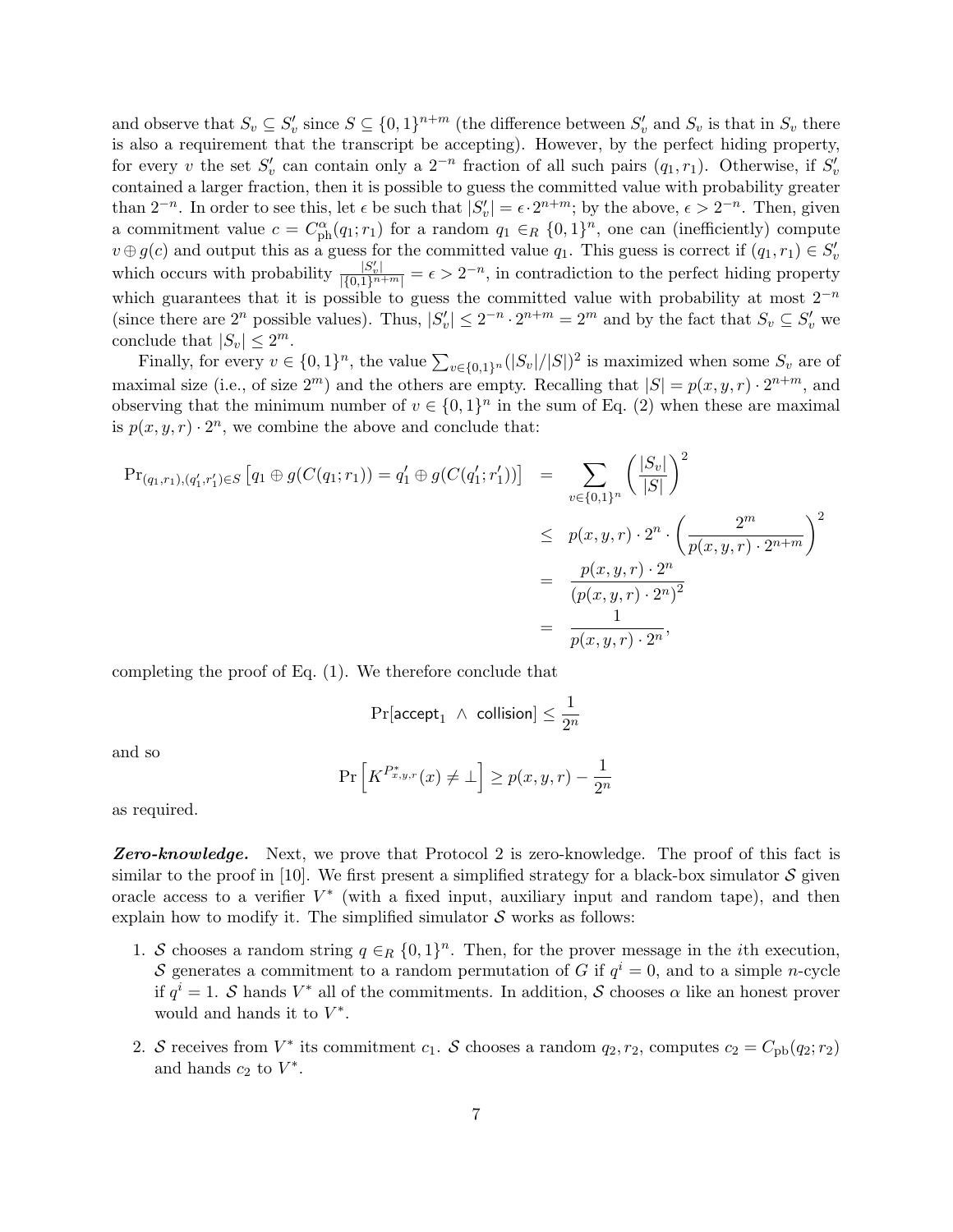and observe that  $S_v \subseteq S_v'$  since  $S \subseteq \{0,1\}^{n+m}$  (the difference between  $S_v'$  and  $S_v$  is that in  $S_v$  there is also a requirement that the transcript be accepting). However, by the perfect hiding property, for every v the set  $S'_v$  can contain only a  $2^{-n}$  fraction of all such pairs  $(q_1, r_1)$ . Otherwise, if  $S'_v$ contained a larger fraction, then it is possible to guess the committed value with probability greater than  $2^{-n}$ . In order to see this, let  $\epsilon$  be such that  $|S'_v| = \epsilon \cdot 2^{n+m}$ ; by the above,  $\epsilon > 2^{-n}$ . Then, given a commitment value  $c = C_{ph}^{\alpha}(q_1; r_1)$  for a random  $q_1 \in_R \{0,1\}^n$ , one can (inefficiently) compute  $v \oplus g(c)$  and output this as a guess for the committed value  $q_1$ . This guess is correct if  $(q_1, r_1) \in S'_v$ which occurs with probability  $\frac{|S'_v|}{|\{0,1\}^{n+m}|} = \epsilon > 2^{-n}$ , in contradiction to the perfect hiding property which guarantees that it is possible to guess the committed value with probability at most  $2^{-n}$ (since there are  $2^n$  possible values). Thus,  $|S'_v| \leq 2^{-n} \cdot 2^{n+m} = 2^m$  and by the fact that  $S_v \subseteq S'_v$  we conclude that  $|S_v| \leq 2^m$ .

Finally, for every  $v \in \{0,1\}^n$ , the value  $\sum_{v \in \{0,1\}^n} (|S_v|/|S|)^2$  is maximized when some  $S_v$  are of maximal size (i.e., of size  $2^m$ ) and the others are empty. Recalling that  $|S| = p(x, y, r) \cdot 2^{n+m}$ , and observing that the minimum number of  $v \in \{0,1\}^n$  in the sum of Eq. (2) when these are maximal is  $p(x, y, r) \cdot 2^n$ , we combine the above and conclude that:

$$
\begin{aligned}\n\Pr_{(q_1,r_1),(q'_1,r'_1)\in S} \left[ q_1 \oplus g(C(q_1;r_1)) = q'_1 \oplus g(C(q'_1;r'_1)) \right] &= \sum_{v\in\{0,1\}^n} \left( \frac{|S_v|}{|S|} \right)^2 \\
&\leq p(x,y,r) \cdot 2^n \cdot \left( \frac{2^m}{p(x,y,r) \cdot 2^{n+m}} \right)^2 \\
&= \frac{p(x,y,r) \cdot 2^n}{(p(x,y,r) \cdot 2^n)^2} \\
&= \frac{1}{p(x,y,r) \cdot 2^n},\n\end{aligned}
$$

completing the proof of Eq. (1). We therefore conclude that

$$
\Pr[\text{accept}_1 \ \wedge \ \text{collision}] \leq \frac{1}{2^n}
$$

and so

$$
\Pr\left[K^{P_{x,y,r}^*}(x) \neq \bot\right] \geq p(x,y,r) - \frac{1}{2^n}
$$

as required.

**Zero-knowledge.** Next, we prove that Protocol 2 is zero-knowledge. The proof of this fact is similar to the proof in [10]. We first present a simplified strategy for a black-box simulator  $\mathcal S$  given oracle access to a verifier  $V^*$  (with a fixed input, auxiliary input and random tape), and then explain how to modify it. The simplified simulator  $S$  works as follows:

- 1. S chooses a random string  $q \in_R \{0,1\}^n$ . Then, for the prover message in the *i*th execution, S generates a commitment to a random permutation of G if  $q^i = 0$ , and to a simple *n*-cycle if  $q^i = 1$ . S hands  $V^*$  all of the commitments. In addition, S chooses  $\alpha$  like an honest prover would and hands it to  $V^*$ .
- 2. S receives from  $V^*$  its commitment  $c_1$ . S chooses a random  $q_2, r_2$ , computes  $c_2 = C_{\text{pb}}(q_2; r_2)$ and hands  $c_2$  to  $V^*$ .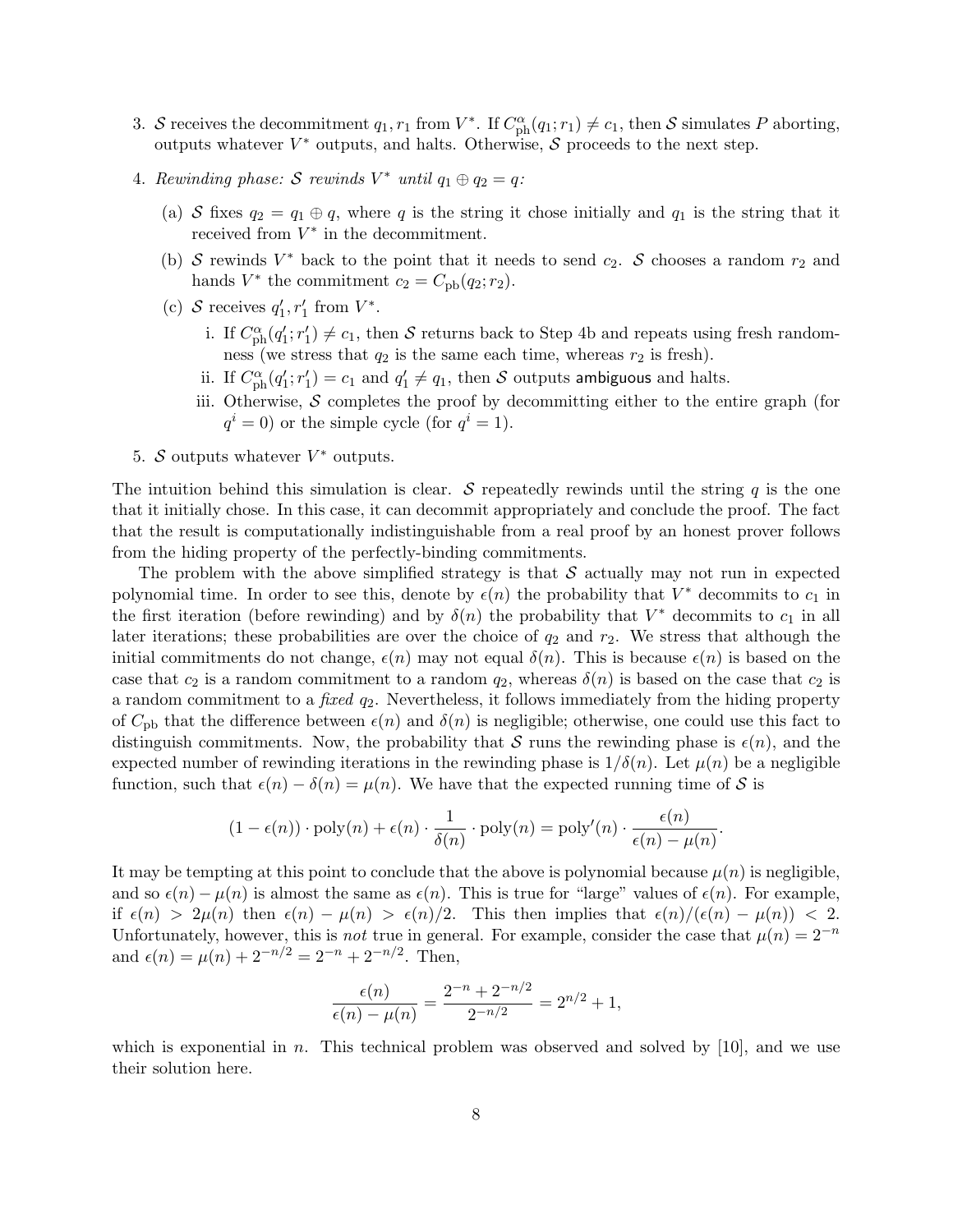- 3. S receives the decommitment  $q_1, r_1$  from  $V^*$ . If  $C_{ph}^{\alpha}(q_1; r_1) \neq c_1$ , then S simulates P aborting, outputs whatever  $V^*$  outputs, and halts. Otherwise, S proceeds to the next step.
- 4. Rewinding phase: S rewinds  $V^*$  until  $q_1 \oplus q_2 = q$ :
	- (a) S fixes  $q_2 = q_1 \oplus q$ , where q is the string it chose initially and  $q_1$  is the string that it received from  $V^*$  in the decommitment.
	- (b) S rewinds  $V^*$  back to the point that it needs to send  $c_2$ . S chooses a random  $r_2$  and hands  $V^*$  the commitment  $c_2 = C_{\text{pb}}(q_2; r_2)$ .
	- (c) S receives  $q'_1, r'_1$  from  $V^*$ .
		- i. If  $C_{\text{ph}}^{\alpha}(q_1'; r_1') \neq c_1$ , then S returns back to Step 4b and repeats using fresh randomness (we stress that  $q_2$  is the same each time, whereas  $r_2$  is fresh).
		- ii. If  $C_{\rm ph}^{\alpha}(q_1'; r_1') = c_1$  and  $q_1' \neq q_1$ , then S outputs ambiguous and halts.
		- iii. Otherwise,  $S$  completes the proof by decommitting either to the entire graph (for  $q^{i} = 0$ ) or the simple cycle (for  $q^{i} = 1$ ).
- 5. S outputs whatever  $V^*$  outputs.

The intuition behind this simulation is clear.  $S$  repeatedly rewinds until the string q is the one that it initially chose. In this case, it can decommit appropriately and conclude the proof. The fact that the result is computationally indistinguishable from a real proof by an honest prover follows from the hiding property of the perfectly-binding commitments.

The problem with the above simplified strategy is that  $S$  actually may not run in expected polynomial time. In order to see this, denote by  $\epsilon(n)$  the probability that  $V^*$  decommits to  $c_1$  in the first iteration (before rewinding) and by  $\delta(n)$  the probability that  $V^*$  decommits to  $c_1$  in all later iterations; these probabilities are over the choice of  $q_2$  and  $r_2$ . We stress that although the initial commitments do not change,  $\epsilon(n)$  may not equal  $\delta(n)$ . This is because  $\epsilon(n)$  is based on the case that  $c_2$  is a random commitment to a random  $q_2$ , whereas  $\delta(n)$  is based on the case that  $c_2$  is a random commitment to a *fixed*  $q_2$ . Nevertheless, it follows immediately from the hiding property of  $C_{\rm pb}$  that the difference between  $\epsilon(n)$  and  $\delta(n)$  is negligible; otherwise, one could use this fact to distinguish commitments. Now, the probability that S runs the rewinding phase is  $\epsilon(n)$ , and the expected number of rewinding iterations in the rewinding phase is  $1/\delta(n)$ . Let  $\mu(n)$  be a negligible function, such that  $\epsilon(n) - \delta(n) = \mu(n)$ . We have that the expected running time of S is

$$
(1 - \epsilon(n)) \cdot \text{poly}(n) + \epsilon(n) \cdot \frac{1}{\delta(n)} \cdot \text{poly}(n) = \text{poly}'(n) \cdot \frac{\epsilon(n)}{\epsilon(n) - \mu(n)}.
$$

It may be tempting at this point to conclude that the above is polynomial because  $\mu(n)$  is negligible, and so  $\epsilon(n) - \mu(n)$  is almost the same as  $\epsilon(n)$ . This is true for "large" values of  $\epsilon(n)$ . For example, if  $\epsilon(n) > 2\mu(n)$  then  $\epsilon(n) - \mu(n) > \epsilon(n)/2$ . This then implies that  $\epsilon(n)/(\epsilon(n) - \mu(n)) < 2$ . Unfortunately, however, this is *not* true in general. For example, consider the case that  $\mu(n) = 2^{-n}$ and  $\epsilon(n) = \mu(n) + 2^{-n/2} = 2^{-n} + 2^{-n/2}$ . Then,

$$
\frac{\epsilon(n)}{\epsilon(n) - \mu(n)} = \frac{2^{-n} + 2^{-n/2}}{2^{-n/2}} = 2^{n/2} + 1,
$$

which is exponential in n. This technical problem was observed and solved by [10], and we use their solution here.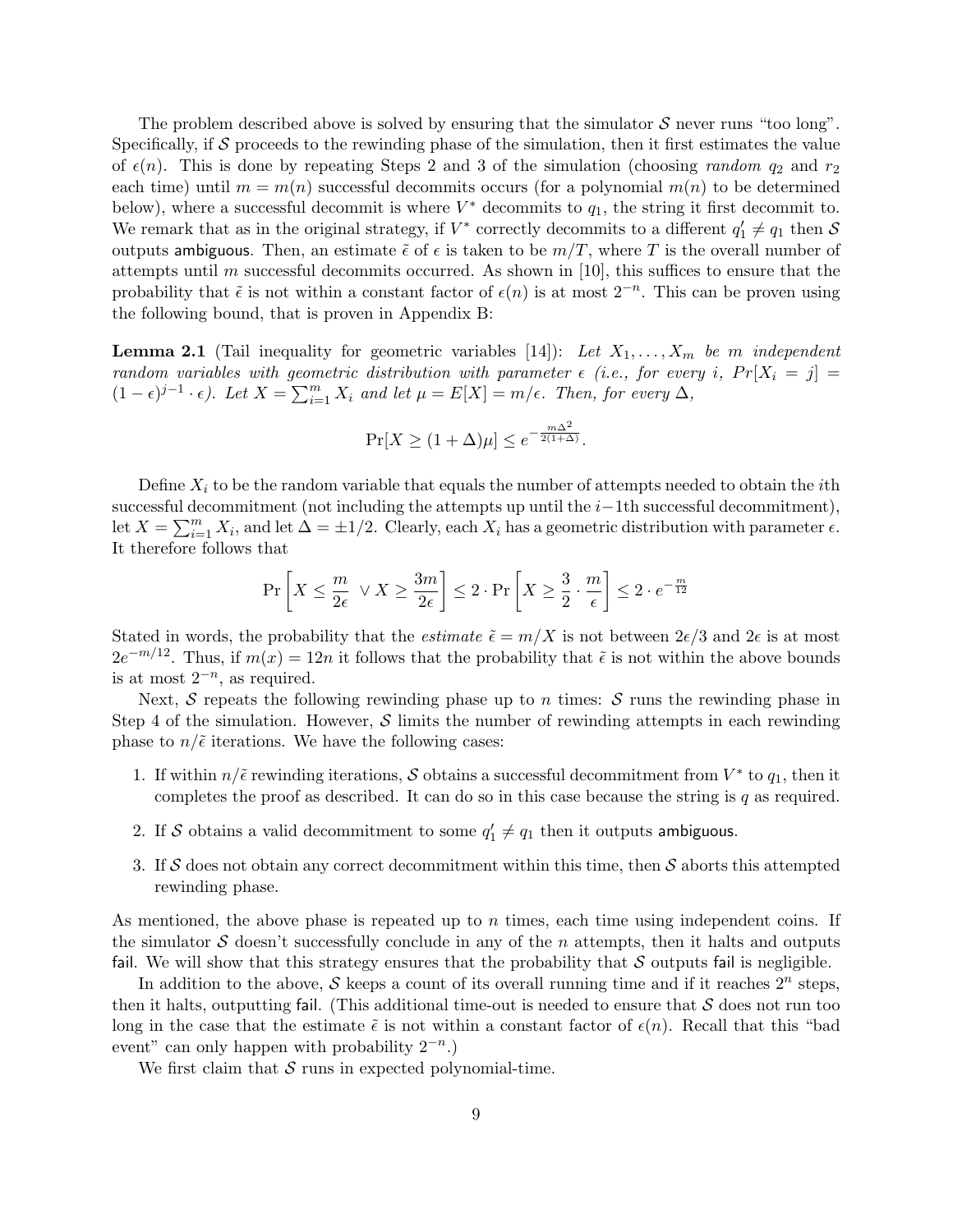The problem described above is solved by ensuring that the simulator  $S$  never runs "too long". Specifically, if  $S$  proceeds to the rewinding phase of the simulation, then it first estimates the value of  $\epsilon(n)$ . This is done by repeating Steps 2 and 3 of the simulation (choosing *random q*<sub>2</sub> and  $r_2$ ) each time) until  $m = m(n)$  successful decommits occurs (for a polynomial  $m(n)$  to be determined below), where a successful decommit is where  $V^*$  decommits to  $q_1$ , the string it first decommit to. We remark that as in the original strategy, if  $V^*$  correctly decommits to a different  $q'_1 \neq q_1$  then S outputs ambiguous. Then, an estimate  $\tilde{\epsilon}$  of  $\epsilon$  is taken to be  $m/T$ , where T is the overall number of attempts until m successful decommits occurred. As shown in [10], this suffices to ensure that the probability that  $\tilde{\epsilon}$  is not within a constant factor of  $\epsilon(n)$  is at most  $2^{-n}$ . This can be proven using the following bound, that is proven in Appendix B:

**Lemma 2.1** (Tail inequality for geometric variables [14]): Let  $X_1, \ldots, X_m$  be m independent random variables with geometric distribution with parameter  $\epsilon$  (i.e., for every i,  $Pr[X_i = j] =$  $(1-\epsilon)^{j-1} \cdot \epsilon$ ). Let  $X = \sum_{i=1}^{m} X_i$  and let  $\mu = E[X] = m/\epsilon$ . Then, for every  $\Delta$ ,

$$
\Pr[X \ge (1 + \Delta)\mu] \le e^{-\frac{m\Delta^2}{2(1 + \Delta)}}.
$$

Define  $X_i$  to be the random variable that equals the number of attempts needed to obtain the *i*th successful decommitment (not including the attempts up until the  $i-1$ th successful decommitment), let  $X = \sum_{i=1}^{m} X_i$ , and let  $\Delta = \pm 1/2$ . Clearly, each  $X_i$  has a geometric distribution with parameter  $\epsilon$ . It therefore follows that

$$
\Pr\left[X \le \frac{m}{2\epsilon} \ \lor X \ge \frac{3m}{2\epsilon}\right] \le 2 \cdot \Pr\left[X \ge \frac{3}{2} \cdot \frac{m}{\epsilon}\right] \le 2 \cdot e^{-\frac{m}{12}}
$$

Stated in words, the probability that the *estimate*  $\tilde{\epsilon} = m/X$  is not between  $2\epsilon/3$  and  $2\epsilon$  is at most  $2e^{-m/12}$ . Thus, if  $m(x) = 12n$  it follows that the probability that  $\tilde{\epsilon}$  is not within the above bounds is at most  $2^{-n}$ , as required.

Next, S repeats the following rewinding phase up to n times:  $S$  runs the rewinding phase in Step 4 of the simulation. However, S limits the number of rewinding attempts in each rewinding phase to  $n/\tilde{\epsilon}$  iterations. We have the following cases:

- 1. If within  $n/\tilde{\epsilon}$  rewinding iterations, S obtains a successful decommitment from  $V^*$  to  $q_1$ , then it completes the proof as described. It can do so in this case because the string is  $q$  as required.
- 2. If S obtains a valid decommitment to some  $q'_1 \neq q_1$  then it outputs ambiguous.
- 3. If S does not obtain any correct decommitment within this time, then S aborts this attempted rewinding phase.

As mentioned, the above phase is repeated up to  $n$  times, each time using independent coins. If the simulator  $\mathcal S$  doesn't successfully conclude in any of the n attempts, then it halts and outputs fail. We will show that this strategy ensures that the probability that  $S$  outputs fail is negligible.

In addition to the above, S keeps a count of its overall running time and if it reaches  $2^n$  steps, then it halts, outputting fail. (This additional time-out is needed to ensure that  $\mathcal S$  does not run too long in the case that the estimate  $\tilde{\epsilon}$  is not within a constant factor of  $\epsilon(n)$ . Recall that this "bad event" can only happen with probability  $2^{-n}$ .)

We first claim that  $S$  runs in expected polynomial-time.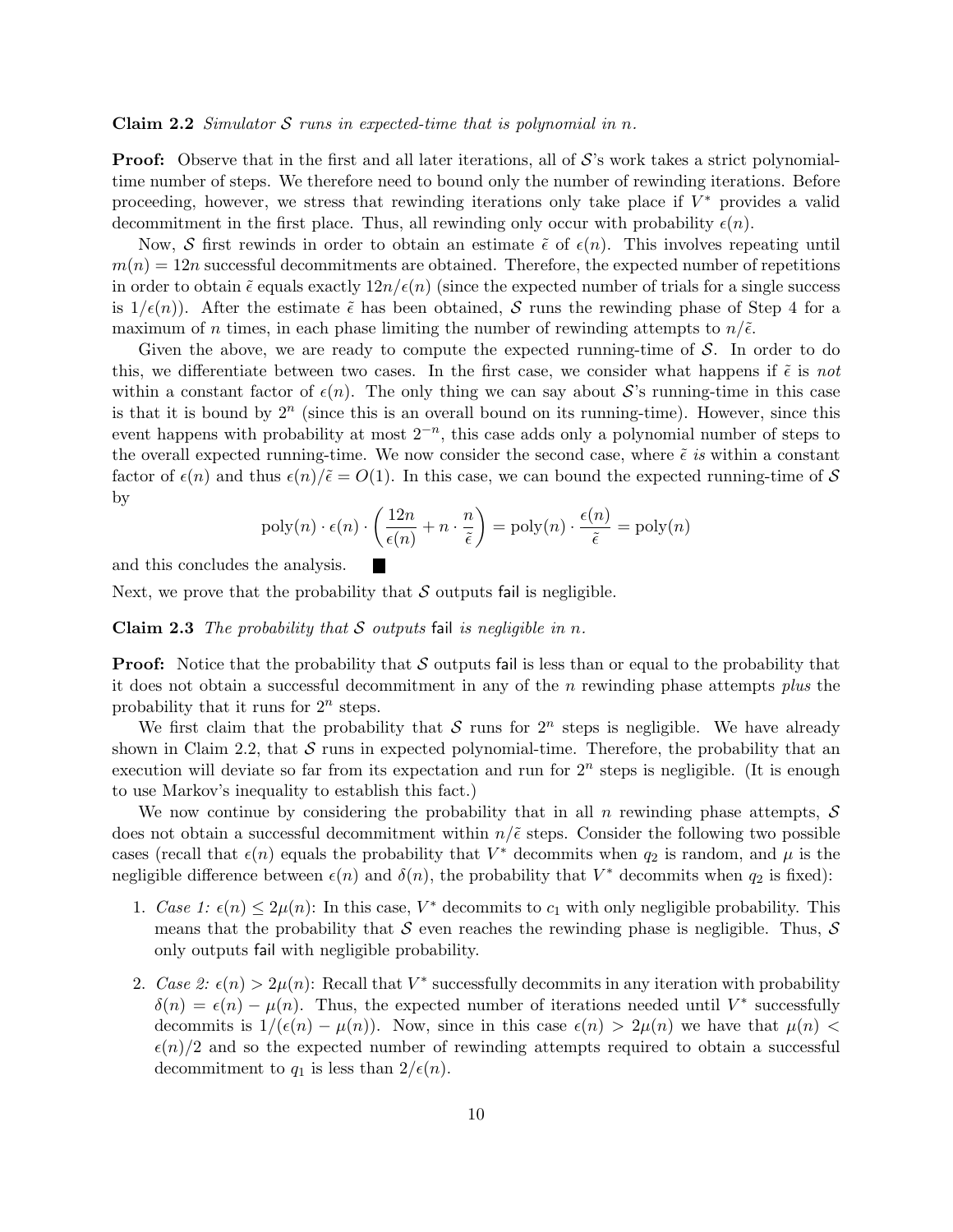**Claim 2.2** Simulator S runs in expected-time that is polynomial in n.

**Proof:** Observe that in the first and all later iterations, all of  $\mathcal{S}'$ 's work takes a strict polynomialtime number of steps. We therefore need to bound only the number of rewinding iterations. Before proceeding, however, we stress that rewinding iterations only take place if  $V^*$  provides a valid decommitment in the first place. Thus, all rewinding only occur with probability  $\epsilon(n)$ .

Now, S first rewinds in order to obtain an estimate  $\tilde{\epsilon}$  of  $\epsilon(n)$ . This involves repeating until  $m(n) = 12n$  successful decommitments are obtained. Therefore, the expected number of repetitions in order to obtain  $\tilde{\epsilon}$  equals exactly  $12n/\epsilon(n)$  (since the expected number of trials for a single success is  $1/\epsilon(n)$ ). After the estimate  $\tilde{\epsilon}$  has been obtained, S runs the rewinding phase of Step 4 for a maximum of n times, in each phase limiting the number of rewinding attempts to  $n/\tilde{\epsilon}$ .

Given the above, we are ready to compute the expected running-time of  $S$ . In order to do this, we differentiate between two cases. In the first case, we consider what happens if  $\tilde{\epsilon}$  is not within a constant factor of  $\epsilon(n)$ . The only thing we can say about S's running-time in this case is that it is bound by  $2^n$  (since this is an overall bound on its running-time). However, since this event happens with probability at most  $2^{-n}$ , this case adds only a polynomial number of steps to the overall expected running-time. We now consider the second case, where  $\tilde{\epsilon}$  is within a constant factor of  $\epsilon(n)$  and thus  $\epsilon(n)/\tilde{\epsilon} = O(1)$ . In this case, we can bound the expected running-time of S by

$$
poly(n) \cdot \epsilon(n) \cdot \left(\frac{12n}{\epsilon(n)} + n \cdot \frac{n}{\tilde{\epsilon}}\right) = poly(n) \cdot \frac{\epsilon(n)}{\tilde{\epsilon}} = poly(n)
$$

and this concludes the analysis.

Next, we prove that the probability that  $S$  outputs fail is negligible.

**Claim 2.3** The probability that S outputs fail is negligible in n.

**Proof:** Notice that the probability that  $S$  outputs fail is less than or equal to the probability that it does not obtain a successful decommitment in any of the  $n$  rewinding phase attempts plus the probability that it runs for  $2^n$  steps.

We first claim that the probability that S runs for  $2^n$  steps is negligible. We have already shown in Claim 2.2, that  $S$  runs in expected polynomial-time. Therefore, the probability that an execution will deviate so far from its expectation and run for  $2<sup>n</sup>$  steps is negligible. (It is enough to use Markov's inequality to establish this fact.)

We now continue by considering the probability that in all n rewinding phase attempts,  $\mathcal S$ does not obtain a successful decommitment within  $n/\tilde{\epsilon}$  steps. Consider the following two possible cases (recall that  $\epsilon(n)$  equals the probability that  $V^*$  decommits when  $q_2$  is random, and  $\mu$  is the negligible difference between  $\epsilon(n)$  and  $\delta(n)$ , the probability that  $V^*$  decommits when  $q_2$  is fixed):

- 1. Case 1:  $\epsilon(n) \leq 2\mu(n)$ : In this case,  $V^*$  decommits to  $c_1$  with only negligible probability. This means that the probability that S even reaches the rewinding phase is negligible. Thus,  $S$ only outputs fail with negligible probability.
- 2. Case 2:  $\epsilon(n) > 2\mu(n)$ : Recall that  $V^*$  successfully decommits in any iteration with probability  $\delta(n) = \epsilon(n) - \mu(n)$ . Thus, the expected number of iterations needed until V<sup>\*</sup> successfully decommits is  $1/(\epsilon(n) - \mu(n))$ . Now, since in this case  $\epsilon(n) > 2\mu(n)$  we have that  $\mu(n) <$  $\epsilon(n)/2$  and so the expected number of rewinding attempts required to obtain a successful decommitment to  $q_1$  is less than  $2/\epsilon(n)$ .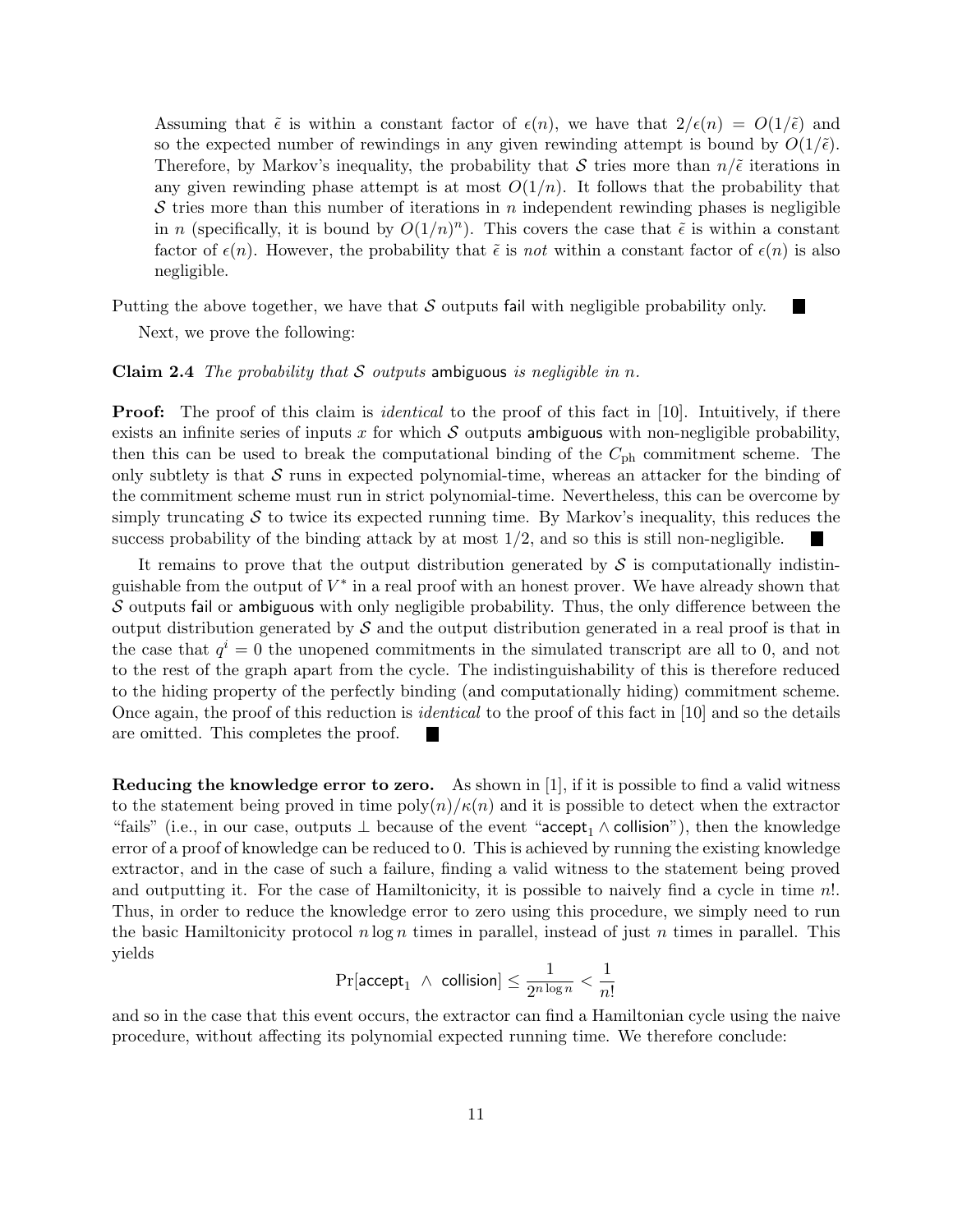Assuming that  $\tilde{\epsilon}$  is within a constant factor of  $\epsilon(n)$ , we have that  $2/\epsilon(n) = O(1/\tilde{\epsilon})$  and so the expected number of rewindings in any given rewinding attempt is bound by  $O(1/\tilde{\epsilon})$ . Therefore, by Markov's inequality, the probability that S tries more than  $n/\tilde{\epsilon}$  iterations in any given rewinding phase attempt is at most  $O(1/n)$ . It follows that the probability that S tries more than this number of iterations in n independent rewinding phases is negligible in *n* (specifically, it is bound by  $O(1/n)^n$ ). This covers the case that  $\tilde{\epsilon}$  is within a constant factor of  $\epsilon(n)$ . However, the probability that  $\tilde{\epsilon}$  is not within a constant factor of  $\epsilon(n)$  is also negligible.

Putting the above together, we have that  $S$  outputs fail with negligible probability only.

Next, we prove the following:

#### **Claim 2.4** The probability that S outputs ambiguous is negligible in n.

**Proof:** The proof of this claim is *identical* to the proof of this fact in [10]. Intuitively, if there exists an infinite series of inputs x for which  $S$  outputs ambiguous with non-negligible probability, then this can be used to break the computational binding of the  $C_{\rm ph}$  commitment scheme. The only subtlety is that  $\mathcal S$  runs in expected polynomial-time, whereas an attacker for the binding of the commitment scheme must run in strict polynomial-time. Nevertheless, this can be overcome by simply truncating  $S$  to twice its expected running time. By Markov's inequality, this reduces the success probability of the binding attack by at most  $1/2$ , and so this is still non-negligible.

It remains to prove that the output distribution generated by  $\mathcal S$  is computationally indistinguishable from the output of  $V^*$  in a real proof with an honest prover. We have already shown that  $\mathcal S$  outputs fail or ambiguous with only negligible probability. Thus, the only difference between the output distribution generated by  $\mathcal S$  and the output distribution generated in a real proof is that in the case that  $q^{i} = 0$  the unopened commitments in the simulated transcript are all to 0, and not to the rest of the graph apart from the cycle. The indistinguishability of this is therefore reduced to the hiding property of the perfectly binding (and computationally hiding) commitment scheme. Once again, the proof of this reduction is identical to the proof of this fact in [10] and so the details are omitted. This completes the proof.

Reducing the knowledge error to zero. As shown in [1], if it is possible to find a valid witness to the statement being proved in time  $\text{poly}(n)/\kappa(n)$  and it is possible to detect when the extractor "fails" (i.e., in our case, outputs  $\perp$  because of the event "accept<sub>1</sub>  $\wedge$  collision"), then the knowledge error of a proof of knowledge can be reduced to 0. This is achieved by running the existing knowledge extractor, and in the case of such a failure, finding a valid witness to the statement being proved and outputting it. For the case of Hamiltonicity, it is possible to naively find a cycle in time n!. Thus, in order to reduce the knowledge error to zero using this procedure, we simply need to run the basic Hamiltonicity protocol  $n \log n$  times in parallel, instead of just n times in parallel. This yields

$$
\Pr[\text{accept}_1~\wedge~\text{collision}]\leq \frac{1}{2^{n\log n}}<\frac{1}{n!}
$$

and so in the case that this event occurs, the extractor can find a Hamiltonian cycle using the naive procedure, without affecting its polynomial expected running time. We therefore conclude: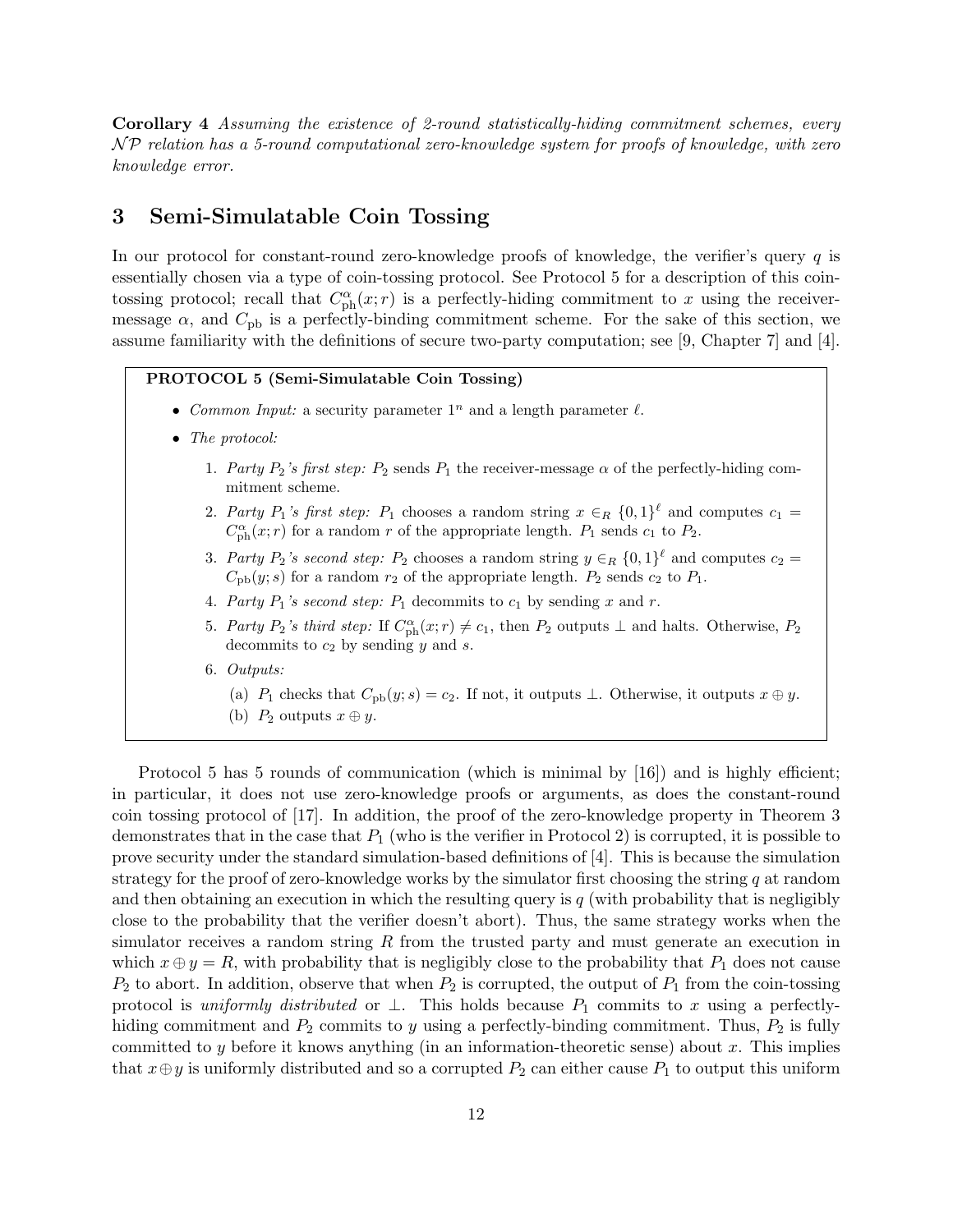Corollary 4 Assuming the existence of 2-round statistically-hiding commitment schemes, every N P relation has a 5-round computational zero-knowledge system for proofs of knowledge, with zero knowledge error.

### 3 Semi-Simulatable Coin Tossing

In our protocol for constant-round zero-knowledge proofs of knowledge, the verifier's query  $q$  is essentially chosen via a type of coin-tossing protocol. See Protocol 5 for a description of this cointossing protocol; recall that  $C_{\rm ph}^{\alpha}(x; r)$  is a perfectly-hiding commitment to x using the receivermessage  $\alpha$ , and  $C_{\text{pb}}$  is a perfectly-binding commitment scheme. For the sake of this section, we assume familiarity with the definitions of secure two-party computation; see [9, Chapter 7] and [4].

PROTOCOL 5 (Semi-Simulatable Coin Tossing)

- Common Input: a security parameter  $1^n$  and a length parameter  $\ell$ .
- The protocol:
	- 1. Party  $P_2$ 's first step:  $P_2$  sends  $P_1$  the receiver-message  $\alpha$  of the perfectly-hiding commitment scheme.
	- 2. Party  $P_1$ 's first step:  $P_1$  chooses a random string  $x \in_R \{0,1\}^{\ell}$  and computes  $c_1 =$  $C_{\rm ph}^{\alpha}(x; r)$  for a random r of the appropriate length.  $P_1$  sends  $c_1$  to  $P_2$ .
	- 3. Party  $P_2$ 's second step:  $P_2$  chooses a random string  $y \in_R \{0,1\}^{\ell}$  and computes  $c_2 =$  $C_{\rm pb}(y; s)$  for a random  $r_2$  of the appropriate length.  $P_2$  sends  $c_2$  to  $P_1$ .
	- 4. Party  $P_1$ 's second step:  $P_1$  decommits to  $c_1$  by sending x and r.
	- 5. Party  $P_2$ 's third step: If  $C_{\text{ph}}^{\alpha}(x; r) \neq c_1$ , then  $P_2$  outputs  $\perp$  and halts. Otherwise,  $P_2$ decommits to  $c_2$  by sending  $y$  and  $s$ .
	- 6. Outputs:
		- (a) P<sub>1</sub> checks that  $C_{\text{pb}}(y; s) = c_2$ . If not, it outputs  $\bot$ . Otherwise, it outputs  $x \oplus y$ .
		- (b)  $P_2$  outputs  $x \oplus y$ .

Protocol 5 has 5 rounds of communication (which is minimal by [16]) and is highly efficient; in particular, it does not use zero-knowledge proofs or arguments, as does the constant-round coin tossing protocol of [17]. In addition, the proof of the zero-knowledge property in Theorem 3 demonstrates that in the case that  $P_1$  (who is the verifier in Protocol 2) is corrupted, it is possible to prove security under the standard simulation-based definitions of [4]. This is because the simulation strategy for the proof of zero-knowledge works by the simulator first choosing the string  $q$  at random and then obtaining an execution in which the resulting query is  $q$  (with probability that is negligibly close to the probability that the verifier doesn't abort). Thus, the same strategy works when the simulator receives a random string  $R$  from the trusted party and must generate an execution in which  $x \oplus y = R$ , with probability that is negligibly close to the probability that  $P_1$  does not cause  $P_2$  to abort. In addition, observe that when  $P_2$  is corrupted, the output of  $P_1$  from the coin-tossing protocol is uniformly distributed or  $\perp$ . This holds because  $P_1$  commits to x using a perfectlyhiding commitment and  $P_2$  commits to y using a perfectly-binding commitment. Thus,  $P_2$  is fully committed to y before it knows anything (in an information-theoretic sense) about x. This implies that  $x \oplus y$  is uniformly distributed and so a corrupted  $P_2$  can either cause  $P_1$  to output this uniform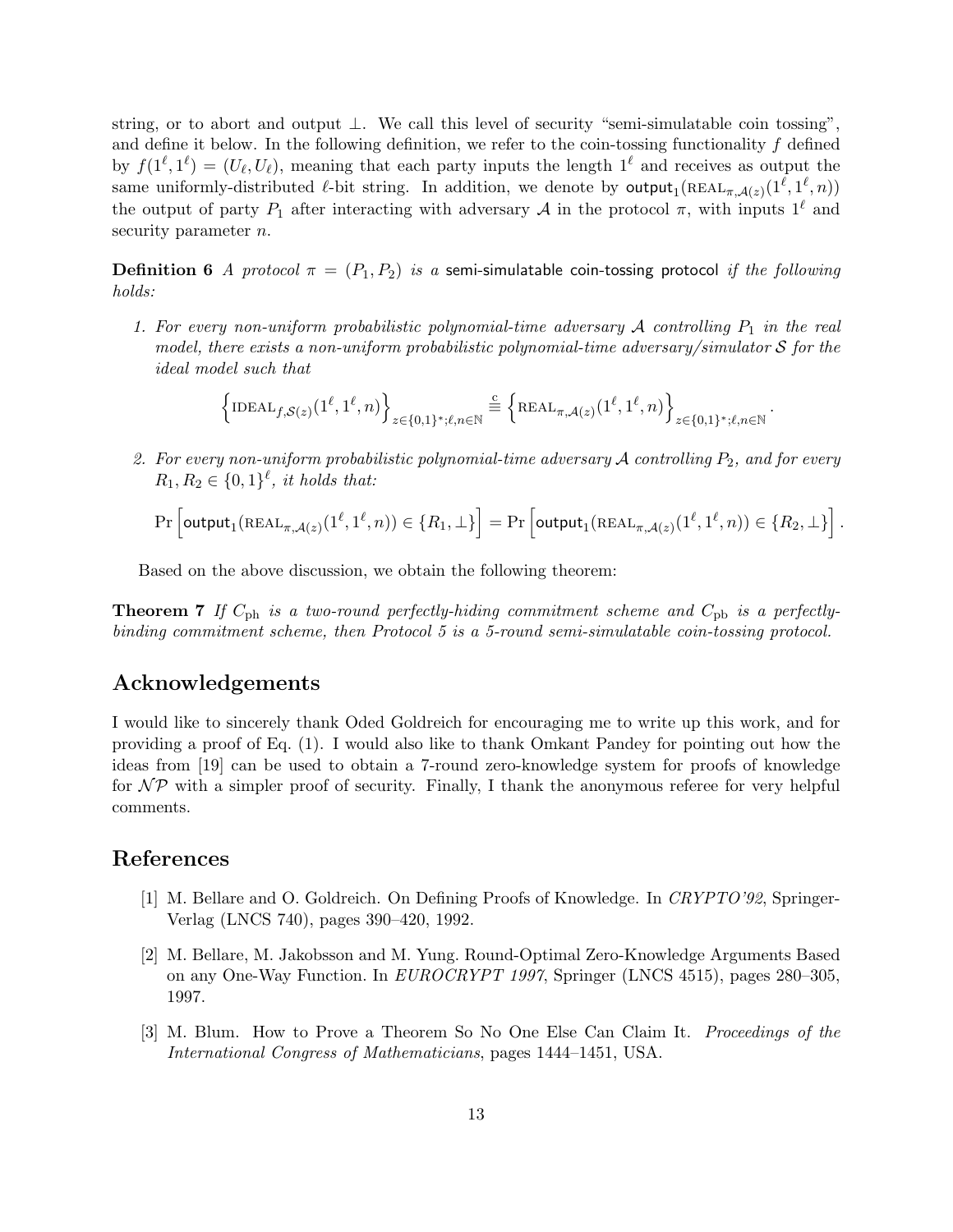string, or to abort and output ⊥. We call this level of security "semi-simulatable coin tossing", and define it below. In the following definition, we refer to the coin-tossing functionality  $f$  defined by  $f(1^{\ell}, 1^{\ell}) = (U_{\ell}, U_{\ell})$ , meaning that each party inputs the length  $1^{\ell}$  and receives as output the same uniformly-distributed  $\ell$ -bit string. In addition, we denote by  $\text{output}_1(\text{REAL}_{\pi,\mathcal{A}(z)}(1^{\ell},1^{\ell},n))$ the output of party  $P_1$  after interacting with adversary A in the protocol  $\pi$ , with inputs  $1^\ell$  and security parameter *n*.

**Definition 6** A protocol  $\pi = (P_1, P_2)$  is a semi-simulatable coin-tossing protocol if the following holds:

1. For every non-uniform probabilistic polynomial-time adversary  $A$  controlling  $P_1$  in the real model, there exists a non-uniform probabilistic polynomial-time adversary/simulator  $S$  for the ideal model such that

$$
\left\{\mathrm{IDEAL}_{f,\mathcal{S}(z)}(1^{\ell},1^{\ell},n)\right\}_{z\in\{0,1\}^{\ast};\ell,n\in\mathbb{N}}\stackrel{\text{c}}{=}\left\{\mathrm{REAL}_{\pi,\mathcal{A}(z)}(1^{\ell},1^{\ell},n)\right\}_{z\in\{0,1\}^{\ast};\ell,n\in\mathbb{N}}
$$

.

2. For every non-uniform probabilistic polynomial-time adversary  $\mathcal A$  controlling  $P_2$ , and for every  $R_1, R_2 \in \{0,1\}^{\ell}$ , it holds that:

$$
\Pr\left[\mathsf{output}_1(\mathsf{REAL}_{\pi,\mathcal{A}(z)}(1^\ell,1^\ell,n)) \in \{R_1,\bot\}\right] = \Pr\left[\mathsf{output}_1(\mathsf{REAL}_{\pi,\mathcal{A}(z)}(1^\ell,1^\ell,n)) \in \{R_2,\bot\}\right].
$$

Based on the above discussion, we obtain the following theorem:

**Theorem 7** If  $C_{\text{ph}}$  is a two-round perfectly-hiding commitment scheme and  $C_{\text{pb}}$  is a perfectlybinding commitment scheme, then Protocol 5 is a 5-round semi-simulatable coin-tossing protocol.

### Acknowledgements

I would like to sincerely thank Oded Goldreich for encouraging me to write up this work, and for providing a proof of Eq. (1). I would also like to thank Omkant Pandey for pointing out how the ideas from [19] can be used to obtain a 7-round zero-knowledge system for proofs of knowledge for  $\mathcal{NP}$  with a simpler proof of security. Finally, I thank the anonymous referee for very helpful comments.

### References

- [1] M. Bellare and O. Goldreich. On Defining Proofs of Knowledge. In CRYPTO'92, Springer-Verlag (LNCS 740), pages 390–420, 1992.
- [2] M. Bellare, M. Jakobsson and M. Yung. Round-Optimal Zero-Knowledge Arguments Based on any One-Way Function. In EUROCRYPT 1997, Springer (LNCS 4515), pages 280–305, 1997.
- [3] M. Blum. How to Prove a Theorem So No One Else Can Claim It. Proceedings of the International Congress of Mathematicians, pages 1444–1451, USA.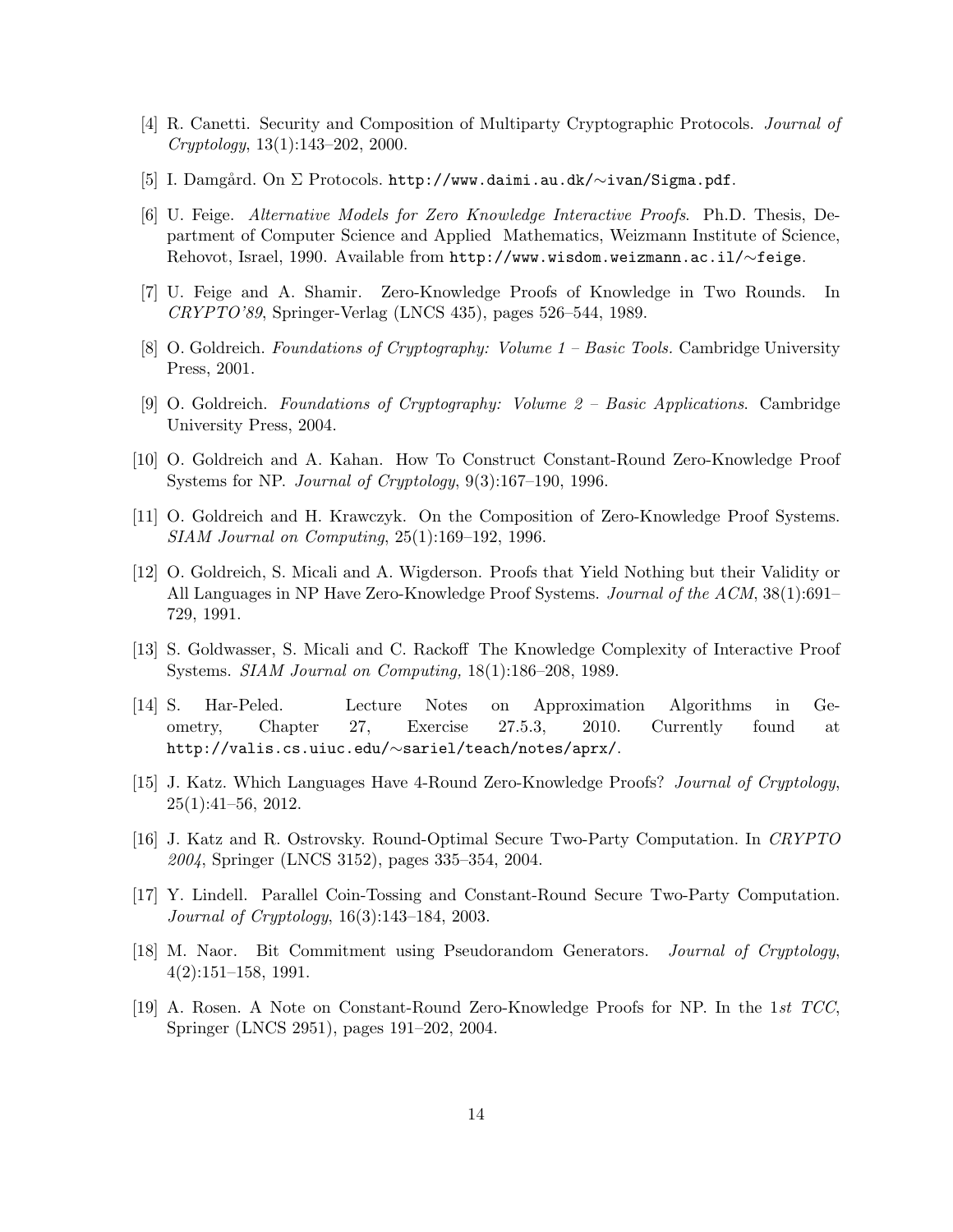- [4] R. Canetti. Security and Composition of Multiparty Cryptographic Protocols. Journal of Cryptology, 13(1):143–202, 2000.
- [5] I. Damgård. On Σ Protocols. http://www.daimi.au.dk/∼ivan/Sigma.pdf.
- [6] U. Feige. Alternative Models for Zero Knowledge Interactive Proofs. Ph.D. Thesis, Department of Computer Science and Applied Mathematics, Weizmann Institute of Science, Rehovot, Israel, 1990. Available from http://www.wisdom.weizmann.ac.il/∼feige.
- [7] U. Feige and A. Shamir. Zero-Knowledge Proofs of Knowledge in Two Rounds. In CRYPTO'89, Springer-Verlag (LNCS 435), pages 526–544, 1989.
- [8] O. Goldreich. Foundations of Cryptography: Volume 1 Basic Tools. Cambridge University Press, 2001.
- [9] O. Goldreich. Foundations of Cryptography: Volume 2 Basic Applications. Cambridge University Press, 2004.
- [10] O. Goldreich and A. Kahan. How To Construct Constant-Round Zero-Knowledge Proof Systems for NP. Journal of Cryptology, 9(3):167–190, 1996.
- [11] O. Goldreich and H. Krawczyk. On the Composition of Zero-Knowledge Proof Systems. SIAM Journal on Computing, 25(1):169–192, 1996.
- [12] O. Goldreich, S. Micali and A. Wigderson. Proofs that Yield Nothing but their Validity or All Languages in NP Have Zero-Knowledge Proof Systems. Journal of the ACM, 38(1):691– 729, 1991.
- [13] S. Goldwasser, S. Micali and C. Rackoff The Knowledge Complexity of Interactive Proof Systems. SIAM Journal on Computing, 18(1):186–208, 1989.
- [14] S. Har-Peled. Lecture Notes on Approximation Algorithms in Geometry, Chapter 27, Exercise 27.5.3, 2010. Currently found at http://valis.cs.uiuc.edu/∼sariel/teach/notes/aprx/.
- [15] J. Katz. Which Languages Have 4-Round Zero-Knowledge Proofs? Journal of Cryptology, 25(1):41–56, 2012.
- [16] J. Katz and R. Ostrovsky. Round-Optimal Secure Two-Party Computation. In CRYPTO 2004, Springer (LNCS 3152), pages 335–354, 2004.
- [17] Y. Lindell. Parallel Coin-Tossing and Constant-Round Secure Two-Party Computation. Journal of Cryptology, 16(3):143–184, 2003.
- [18] M. Naor. Bit Commitment using Pseudorandom Generators. Journal of Cryptology, 4(2):151–158, 1991.
- [19] A. Rosen. A Note on Constant-Round Zero-Knowledge Proofs for NP. In the 1st TCC, Springer (LNCS 2951), pages 191–202, 2004.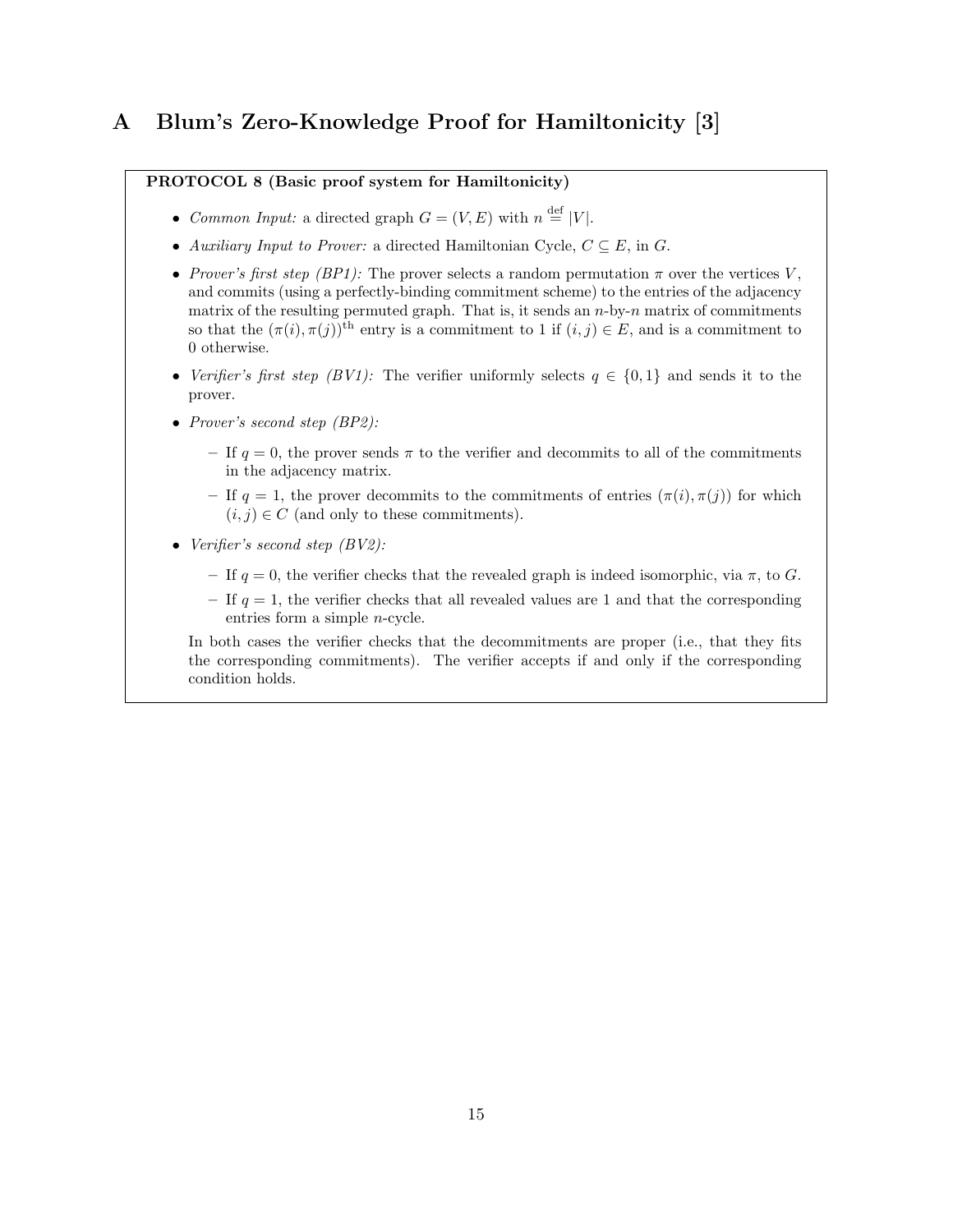# A Blum's Zero-Knowledge Proof for Hamiltonicity [3]

#### PROTOCOL 8 (Basic proof system for Hamiltonicity)

- Common Input: a directed graph  $G = (V, E)$  with  $n \stackrel{\text{def}}{=} |V|$ .
- Auxiliary Input to Prover: a directed Hamiltonian Cycle,  $C \subseteq E$ , in G.
- Prover's first step (BP1): The prover selects a random permutation  $\pi$  over the vertices V, and commits (using a perfectly-binding commitment scheme) to the entries of the adjacency matrix of the resulting permuted graph. That is, it sends an  $n$ -by- $n$  matrix of commitments so that the  $(\pi(i), \pi(j))$ <sup>th</sup> entry is a commitment to 1 if  $(i, j) \in E$ , and is a commitment to 0 otherwise.
- Verifier's first step (BV1): The verifier uniformly selects  $q \in \{0,1\}$  and sends it to the prover.
- Prover's second step (BP2):
	- If  $q = 0$ , the prover sends  $\pi$  to the verifier and decommits to all of the commitments in the adjacency matrix.
	- If  $q = 1$ , the prover decommits to the commitments of entries  $(\pi(i), \pi(j))$  for which  $(i, j) \in C$  (and only to these commitments).
- Verifier's second step (BV2):
	- If  $q = 0$ , the verifier checks that the revealed graph is indeed isomorphic, via  $\pi$ , to G.
	- If  $q = 1$ , the verifier checks that all revealed values are 1 and that the corresponding entries form a simple n-cycle.

In both cases the verifier checks that the decommitments are proper (i.e., that they fits the corresponding commitments). The verifier accepts if and only if the corresponding condition holds.